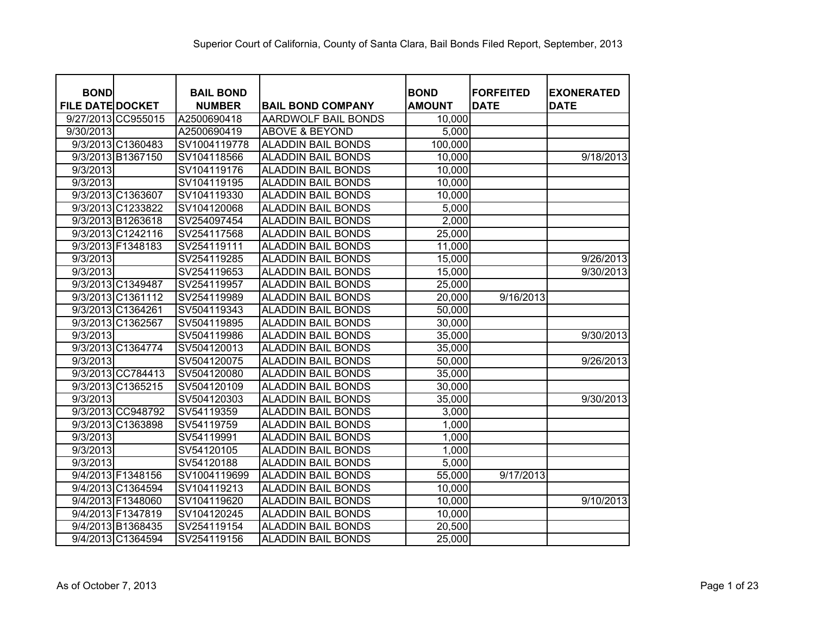| <b>BOND</b><br><b>FILE DATE DOCKET</b> |                   | <b>BAIL BOND</b><br><b>NUMBER</b> | <b>BAIL BOND COMPANY</b>  | <b>BOND</b><br><b>AMOUNT</b> | <b>FORFEITED</b><br><b>DATE</b> | <b>EXONERATED</b><br><b>DATE</b> |
|----------------------------------------|-------------------|-----------------------------------|---------------------------|------------------------------|---------------------------------|----------------------------------|
| 9/27/2013 CC955015                     |                   | A2500690418                       | AARDWOLF BAIL BONDS       | 10,000                       |                                 |                                  |
| 9/30/2013                              |                   | A2500690419                       | <b>ABOVE &amp; BEYOND</b> | 5,000                        |                                 |                                  |
| 9/3/2013 C1360483                      |                   | SV1004119778                      | <b>ALADDIN BAIL BONDS</b> | 100,000                      |                                 |                                  |
| 9/3/2013 B1367150                      |                   | SV104118566                       | <b>ALADDIN BAIL BONDS</b> | 10,000                       |                                 | 9/18/2013                        |
| 9/3/2013                               |                   | SV104119176                       | <b>ALADDIN BAIL BONDS</b> | 10,000                       |                                 |                                  |
| 9/3/2013                               |                   | SV104119195                       | <b>ALADDIN BAIL BONDS</b> | 10,000                       |                                 |                                  |
| 9/3/2013 C1363607                      |                   | SV104119330                       | <b>ALADDIN BAIL BONDS</b> | 10,000                       |                                 |                                  |
| 9/3/2013 C1233822                      |                   | SV104120068                       | <b>ALADDIN BAIL BONDS</b> | 5,000                        |                                 |                                  |
| 9/3/2013 B1263618                      |                   | SV254097454                       | <b>ALADDIN BAIL BONDS</b> | 2,000                        |                                 |                                  |
| 9/3/2013 C1242116                      |                   | SV254117568                       | <b>ALADDIN BAIL BONDS</b> | 25,000                       |                                 |                                  |
| 9/3/2013 F1348183                      |                   | SV254119111                       | <b>ALADDIN BAIL BONDS</b> | 11,000                       |                                 |                                  |
| 9/3/2013                               |                   | SV254119285                       | <b>ALADDIN BAIL BONDS</b> | 15,000                       |                                 | 9/26/2013                        |
| 9/3/2013                               |                   | SV254119653                       | <b>ALADDIN BAIL BONDS</b> | 15,000                       |                                 | 9/30/2013                        |
| 9/3/2013 C1349487                      |                   | SV254119957                       | <b>ALADDIN BAIL BONDS</b> | 25,000                       |                                 |                                  |
| 9/3/2013 C1361112                      |                   | SV254119989                       | <b>ALADDIN BAIL BONDS</b> | 20,000                       | 9/16/2013                       |                                  |
| 9/3/2013 C1364261                      |                   | SV504119343                       | <b>ALADDIN BAIL BONDS</b> | 50,000                       |                                 |                                  |
| 9/3/2013 C1362567                      |                   | SV504119895                       | <b>ALADDIN BAIL BONDS</b> | 30,000                       |                                 |                                  |
| 9/3/2013                               |                   | SV504119986                       | <b>ALADDIN BAIL BONDS</b> | 35,000                       |                                 | 9/30/2013                        |
| 9/3/2013 C1364774                      |                   | SV504120013                       | <b>ALADDIN BAIL BONDS</b> | 35,000                       |                                 |                                  |
| 9/3/2013                               |                   | SV504120075                       | <b>ALADDIN BAIL BONDS</b> | 50,000                       |                                 | 9/26/2013                        |
|                                        | 9/3/2013 CC784413 | SV504120080                       | <b>ALADDIN BAIL BONDS</b> | 35,000                       |                                 |                                  |
| 9/3/2013 C1365215                      |                   | SV504120109                       | <b>ALADDIN BAIL BONDS</b> | 30,000                       |                                 |                                  |
| 9/3/2013                               |                   | SV504120303                       | <b>ALADDIN BAIL BONDS</b> | 35,000                       |                                 | 9/30/2013                        |
|                                        | 9/3/2013 CC948792 | SV54119359                        | <b>ALADDIN BAIL BONDS</b> | 3,000                        |                                 |                                  |
| 9/3/2013 C1363898                      |                   | SV54119759                        | <b>ALADDIN BAIL BONDS</b> | 1,000                        |                                 |                                  |
| 9/3/2013                               |                   | SV54119991                        | <b>ALADDIN BAIL BONDS</b> | 1,000                        |                                 |                                  |
| 9/3/2013                               |                   | SV54120105                        | <b>ALADDIN BAIL BONDS</b> | 1,000                        |                                 |                                  |
| 9/3/2013                               |                   | SV54120188                        | <b>ALADDIN BAIL BONDS</b> | 5,000                        |                                 |                                  |
| 9/4/2013 F1348156                      |                   | SV1004119699                      | <b>ALADDIN BAIL BONDS</b> | 55,000                       | 9/17/2013                       |                                  |
| 9/4/2013 C1364594                      |                   | SV104119213                       | <b>ALADDIN BAIL BONDS</b> | 10,000                       |                                 |                                  |
| 9/4/2013 F1348060                      |                   | SV104119620                       | <b>ALADDIN BAIL BONDS</b> | 10,000                       |                                 | 9/10/2013                        |
| 9/4/2013 F1347819                      |                   | SV104120245                       | <b>ALADDIN BAIL BONDS</b> | 10,000                       |                                 |                                  |
| 9/4/2013 B1368435                      |                   | SV254119154                       | <b>ALADDIN BAIL BONDS</b> | 20,500                       |                                 |                                  |
| 9/4/2013 C1364594                      |                   | SV254119156                       | <b>ALADDIN BAIL BONDS</b> | 25,000                       |                                 |                                  |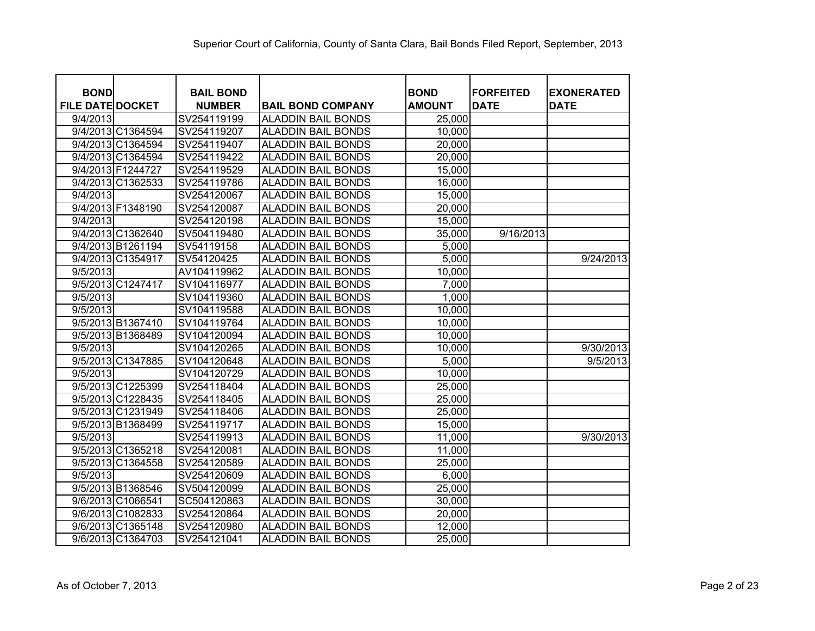| <b>BOND</b><br><b>FILE DATE DOCKET</b> | <b>BAIL BOND</b><br><b>NUMBER</b> | <b>BAIL BOND COMPANY</b>  | <b>BOND</b><br><b>AMOUNT</b> | <b>FORFEITED</b><br><b>DATE</b> | <b>EXONERATED</b><br><b>DATE</b> |
|----------------------------------------|-----------------------------------|---------------------------|------------------------------|---------------------------------|----------------------------------|
| 9/4/2013                               | SV254119199                       | <b>ALADDIN BAIL BONDS</b> | 25,000                       |                                 |                                  |
| 9/4/2013 C1364594                      | SV254119207                       | <b>ALADDIN BAIL BONDS</b> | 10,000                       |                                 |                                  |
| 9/4/2013 C1364594                      | SV254119407                       | <b>ALADDIN BAIL BONDS</b> | 20,000                       |                                 |                                  |
| 9/4/2013 C1364594                      | SV254119422                       | <b>ALADDIN BAIL BONDS</b> | 20,000                       |                                 |                                  |
| 9/4/2013 F1244727                      | SV254119529                       | <b>ALADDIN BAIL BONDS</b> | 15,000                       |                                 |                                  |
| 9/4/2013 C1362533                      | SV254119786                       | <b>ALADDIN BAIL BONDS</b> | 16,000                       |                                 |                                  |
| 9/4/2013                               | SV254120067                       | <b>ALADDIN BAIL BONDS</b> | 15,000                       |                                 |                                  |
| 9/4/2013 F1348190                      | SV254120087                       | <b>ALADDIN BAIL BONDS</b> | 20,000                       |                                 |                                  |
| 9/4/2013                               | SV254120198                       | <b>ALADDIN BAIL BONDS</b> | 15,000                       |                                 |                                  |
| 9/4/2013 C1362640                      | SV504119480                       | <b>ALADDIN BAIL BONDS</b> | 35,000                       | 9/16/2013                       |                                  |
| 9/4/2013 B1261194                      | SV54119158                        | <b>ALADDIN BAIL BONDS</b> | 5,000                        |                                 |                                  |
| 9/4/2013 C1354917                      | SV54120425                        | <b>ALADDIN BAIL BONDS</b> | 5,000                        |                                 | 9/24/2013                        |
| 9/5/2013                               | AV104119962                       | <b>ALADDIN BAIL BONDS</b> | 10,000                       |                                 |                                  |
| 9/5/2013 C1247417                      | SV104116977                       | <b>ALADDIN BAIL BONDS</b> | 7,000                        |                                 |                                  |
| 9/5/2013                               | SV104119360                       | <b>ALADDIN BAIL BONDS</b> | 1,000                        |                                 |                                  |
| 9/5/2013                               | SV104119588                       | <b>ALADDIN BAIL BONDS</b> | 10,000                       |                                 |                                  |
| 9/5/2013 B1367410                      | SV104119764                       | <b>ALADDIN BAIL BONDS</b> | 10,000                       |                                 |                                  |
| 9/5/2013 B1368489                      | SV104120094                       | <b>ALADDIN BAIL BONDS</b> | 10,000                       |                                 |                                  |
| 9/5/2013                               | SV104120265                       | <b>ALADDIN BAIL BONDS</b> | 10,000                       |                                 | 9/30/2013                        |
| 9/5/2013 C1347885                      | SV104120648                       | <b>ALADDIN BAIL BONDS</b> | 5,000                        |                                 | 9/5/2013                         |
| 9/5/2013                               | SV104120729                       | <b>ALADDIN BAIL BONDS</b> | 10,000                       |                                 |                                  |
| 9/5/2013 C1225399                      | SV254118404                       | <b>ALADDIN BAIL BONDS</b> | 25,000                       |                                 |                                  |
| 9/5/2013 C1228435                      | SV254118405                       | <b>ALADDIN BAIL BONDS</b> | 25,000                       |                                 |                                  |
| 9/5/2013 C1231949                      | SV254118406                       | <b>ALADDIN BAIL BONDS</b> | 25,000                       |                                 |                                  |
| 9/5/2013 B1368499                      | SV254119717                       | <b>ALADDIN BAIL BONDS</b> | 15,000                       |                                 |                                  |
| 9/5/2013                               | SV254119913                       | <b>ALADDIN BAIL BONDS</b> | 11,000                       |                                 | 9/30/2013                        |
| 9/5/2013 C1365218                      | SV254120081                       | <b>ALADDIN BAIL BONDS</b> | 11,000                       |                                 |                                  |
| 9/5/2013 C1364558                      | SV254120589                       | <b>ALADDIN BAIL BONDS</b> | 25,000                       |                                 |                                  |
| 9/5/2013                               | SV254120609                       | <b>ALADDIN BAIL BONDS</b> | 6,000                        |                                 |                                  |
| 9/5/2013 B1368546                      | SV504120099                       | <b>ALADDIN BAIL BONDS</b> | 25,000                       |                                 |                                  |
| 9/6/2013 C1066541                      | SC504120863                       | <b>ALADDIN BAIL BONDS</b> | 30,000                       |                                 |                                  |
| 9/6/2013 C1082833                      | SV254120864                       | <b>ALADDIN BAIL BONDS</b> | 20,000                       |                                 |                                  |
| 9/6/2013 C1365148                      | SV254120980                       | <b>ALADDIN BAIL BONDS</b> | 12,000                       |                                 |                                  |
| 9/6/2013 C1364703                      | SV254121041                       | <b>ALADDIN BAIL BONDS</b> | 25,000                       |                                 |                                  |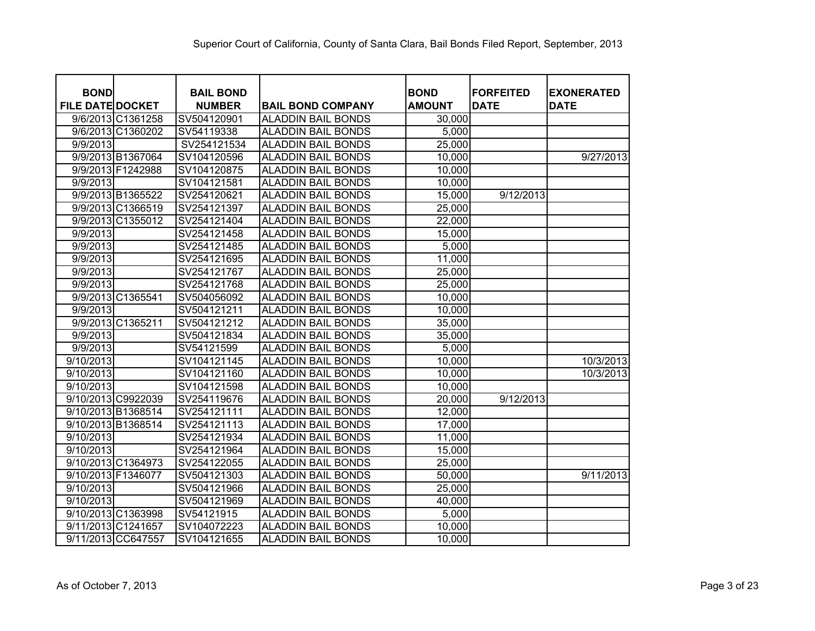| <b>BOND</b>             | <b>BAIL BOND</b> |                           | <b>BOND</b>   | <b>FORFEITED</b> | <b>EXONERATED</b> |
|-------------------------|------------------|---------------------------|---------------|------------------|-------------------|
| <b>FILE DATE DOCKET</b> | <b>NUMBER</b>    | <b>BAIL BOND COMPANY</b>  | <b>AMOUNT</b> | <b>DATE</b>      | <b>DATE</b>       |
| 9/6/2013 C1361258       | SV504120901      | <b>ALADDIN BAIL BONDS</b> | 30,000        |                  |                   |
| 9/6/2013 C1360202       | SV54119338       | <b>ALADDIN BAIL BONDS</b> | 5,000         |                  |                   |
| 9/9/2013                | SV254121534      | <b>ALADDIN BAIL BONDS</b> | 25,000        |                  |                   |
| 9/9/2013 B1367064       | SV104120596      | <b>ALADDIN BAIL BONDS</b> | 10,000        |                  | 9/27/2013         |
| 9/9/2013 F1242988       | SV104120875      | <b>ALADDIN BAIL BONDS</b> | 10,000        |                  |                   |
| 9/9/2013                | SV104121581      | <b>ALADDIN BAIL BONDS</b> | 10,000        |                  |                   |
| 9/9/2013 B1365522       | SV254120621      | <b>ALADDIN BAIL BONDS</b> | 15,000        | 9/12/2013        |                   |
| 9/9/2013 C1366519       | SV254121397      | <b>ALADDIN BAIL BONDS</b> | 25,000        |                  |                   |
| 9/9/2013 C1355012       | SV254121404      | <b>ALADDIN BAIL BONDS</b> | 22,000        |                  |                   |
| 9/9/2013                | SV254121458      | <b>ALADDIN BAIL BONDS</b> | 15,000        |                  |                   |
| 9/9/2013                | SV254121485      | <b>ALADDIN BAIL BONDS</b> | 5,000         |                  |                   |
| 9/9/2013                | SV254121695      | <b>ALADDIN BAIL BONDS</b> | 11,000        |                  |                   |
| 9/9/2013                | SV254121767      | <b>ALADDIN BAIL BONDS</b> | 25,000        |                  |                   |
| 9/9/2013                | SV254121768      | <b>ALADDIN BAIL BONDS</b> | 25,000        |                  |                   |
| 9/9/2013 C1365541       | SV504056092      | <b>ALADDIN BAIL BONDS</b> | 10,000        |                  |                   |
| 9/9/2013                | SV504121211      | <b>ALADDIN BAIL BONDS</b> | 10,000        |                  |                   |
| 9/9/2013 C1365211       | SV504121212      | <b>ALADDIN BAIL BONDS</b> | 35,000        |                  |                   |
| 9/9/2013                | SV504121834      | <b>ALADDIN BAIL BONDS</b> | 35,000        |                  |                   |
| 9/9/2013                | SV54121599       | <b>ALADDIN BAIL BONDS</b> | 5,000         |                  |                   |
| 9/10/2013               | SV104121145      | <b>ALADDIN BAIL BONDS</b> | 10,000        |                  | 10/3/2013         |
| 9/10/2013               | SV104121160      | <b>ALADDIN BAIL BONDS</b> | 10,000        |                  | 10/3/2013         |
| 9/10/2013               | SV104121598      | <b>ALADDIN BAIL BONDS</b> | 10,000        |                  |                   |
| 9/10/2013 C9922039      | SV254119676      | <b>ALADDIN BAIL BONDS</b> | 20,000        | 9/12/2013        |                   |
| 9/10/2013 B1368514      | SV254121111      | <b>ALADDIN BAIL BONDS</b> | 12,000        |                  |                   |
| 9/10/2013 B1368514      | SV254121113      | ALADDIN BAIL BONDS        | 17,000        |                  |                   |
| 9/10/2013               | SV254121934      | <b>ALADDIN BAIL BONDS</b> | 11,000        |                  |                   |
| 9/10/2013               | SV254121964      | <b>ALADDIN BAIL BONDS</b> | 15,000        |                  |                   |
| 9/10/2013 C1364973      | SV254122055      | <b>ALADDIN BAIL BONDS</b> | 25,000        |                  |                   |
| 9/10/2013 F1346077      | SV504121303      | <b>ALADDIN BAIL BONDS</b> | 50,000        |                  | 9/11/2013         |
| 9/10/2013               | SV504121966      | <b>ALADDIN BAIL BONDS</b> | 25,000        |                  |                   |
| 9/10/2013               | SV504121969      | <b>ALADDIN BAIL BONDS</b> | 40,000        |                  |                   |
| 9/10/2013 C1363998      | SV54121915       | <b>ALADDIN BAIL BONDS</b> | 5,000         |                  |                   |
| 9/11/2013 C1241657      | SV104072223      | <b>ALADDIN BAIL BONDS</b> | 10,000        |                  |                   |
| 9/11/2013 CC647557      | SV104121655      | <b>ALADDIN BAIL BONDS</b> | 10,000        |                  |                   |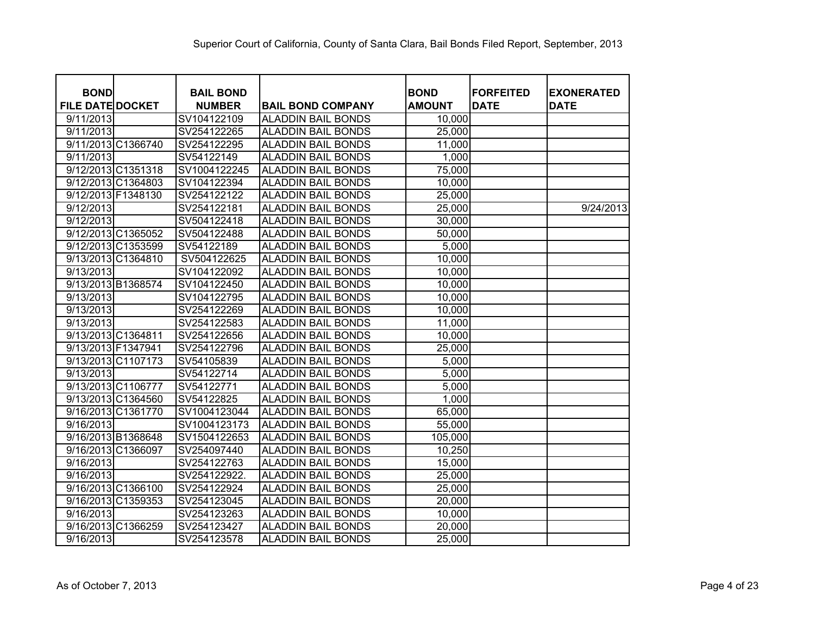| <b>BOND</b><br><b>FILE DATE DOCKET</b> | <b>BAIL BOND</b><br><b>NUMBER</b> | <b>BAIL BOND COMPANY</b>  | <b>BOND</b><br><b>AMOUNT</b> | <b>FORFEITED</b><br><b>DATE</b> | <b>EXONERATED</b><br><b>DATE</b> |
|----------------------------------------|-----------------------------------|---------------------------|------------------------------|---------------------------------|----------------------------------|
| 9/11/2013                              | SV104122109                       | <b>ALADDIN BAIL BONDS</b> | 10,000                       |                                 |                                  |
| 9/11/2013                              | SV254122265                       | <b>ALADDIN BAIL BONDS</b> | 25,000                       |                                 |                                  |
| 9/11/2013 C1366740                     | SV254122295                       | <b>ALADDIN BAIL BONDS</b> | 11,000                       |                                 |                                  |
| 9/11/2013                              | SV54122149                        | <b>ALADDIN BAIL BONDS</b> | 1,000                        |                                 |                                  |
| 9/12/2013 C1351318                     | SV1004122245                      | <b>ALADDIN BAIL BONDS</b> | 75,000                       |                                 |                                  |
| 9/12/2013 C1364803                     | SV104122394                       | <b>ALADDIN BAIL BONDS</b> | 10,000                       |                                 |                                  |
| 9/12/2013 F1348130                     | SV254122122                       | <b>ALADDIN BAIL BONDS</b> | 25,000                       |                                 |                                  |
| 9/12/2013                              | SV254122181                       | <b>ALADDIN BAIL BONDS</b> | 25,000                       |                                 | 9/24/2013                        |
| 9/12/2013                              | SV504122418                       | <b>ALADDIN BAIL BONDS</b> | 30,000                       |                                 |                                  |
| 9/12/2013 C1365052                     | SV504122488                       | ALADDIN BAIL BONDS        | 50,000                       |                                 |                                  |
| 9/12/2013 C1353599                     | SV54122189                        | ALADDIN BAIL BONDS        | 5,000                        |                                 |                                  |
| 9/13/2013 C1364810                     | SV504122625                       | <b>ALADDIN BAIL BONDS</b> | 10,000                       |                                 |                                  |
| 9/13/2013                              | SV104122092                       | <b>ALADDIN BAIL BONDS</b> | 10,000                       |                                 |                                  |
| 9/13/2013 B1368574                     | SV104122450                       | ALADDIN BAIL BONDS        | 10,000                       |                                 |                                  |
| 9/13/2013                              | SV104122795                       | <b>ALADDIN BAIL BONDS</b> | 10,000                       |                                 |                                  |
| 9/13/2013                              | SV254122269                       | <b>ALADDIN BAIL BONDS</b> | 10,000                       |                                 |                                  |
| 9/13/2013                              | SV254122583                       | <b>ALADDIN BAIL BONDS</b> | 11,000                       |                                 |                                  |
| 9/13/2013 C1364811                     | SV254122656                       | <b>ALADDIN BAIL BONDS</b> | 10,000                       |                                 |                                  |
| 9/13/2013 F1347941                     | SV254122796                       | ALADDIN BAIL BONDS        | 25,000                       |                                 |                                  |
| 9/13/2013 C1107173                     | SV54105839                        | ALADDIN BAIL BONDS        | 5,000                        |                                 |                                  |
| 9/13/2013                              | SV54122714                        | ALADDIN BAIL BONDS        | 5,000                        |                                 |                                  |
| 9/13/2013 C1106777                     | SV54122771                        | <b>ALADDIN BAIL BONDS</b> | 5,000                        |                                 |                                  |
| 9/13/2013 C1364560                     | SV54122825                        | <b>ALADDIN BAIL BONDS</b> | 1,000                        |                                 |                                  |
| 9/16/2013 C1361770                     | SV1004123044                      | <b>ALADDIN BAIL BONDS</b> | 65,000                       |                                 |                                  |
| 9/16/2013                              | SV1004123173                      | <b>ALADDIN BAIL BONDS</b> | 55,000                       |                                 |                                  |
| 9/16/2013 B1368648                     | SV1504122653                      | <b>ALADDIN BAIL BONDS</b> | 105,000                      |                                 |                                  |
| 9/16/2013 C1366097                     | SV254097440                       | <b>ALADDIN BAIL BONDS</b> | 10,250                       |                                 |                                  |
| 9/16/2013                              | SV254122763                       | <b>ALADDIN BAIL BONDS</b> | 15,000                       |                                 |                                  |
| 9/16/2013                              | SV254122922.                      | <b>ALADDIN BAIL BONDS</b> | 25,000                       |                                 |                                  |
| 9/16/2013 C1366100                     | SV254122924                       | <b>ALADDIN BAIL BONDS</b> | 25,000                       |                                 |                                  |
| 9/16/2013 C1359353                     | SV254123045                       | <b>ALADDIN BAIL BONDS</b> | 20,000                       |                                 |                                  |
| 9/16/2013                              | SV254123263                       | <b>ALADDIN BAIL BONDS</b> | 10,000                       |                                 |                                  |
| 9/16/2013 C1366259                     | SV254123427                       | <b>ALADDIN BAIL BONDS</b> | 20,000                       |                                 |                                  |
| 9/16/2013                              | SV254123578                       | <b>ALADDIN BAIL BONDS</b> | 25,000                       |                                 |                                  |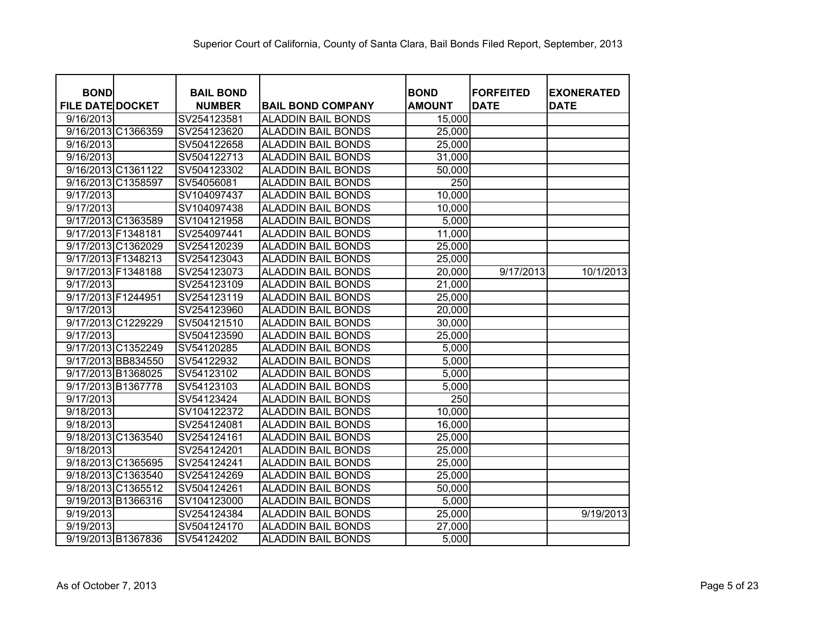| <b>BOND</b>             |             | <b>BAIL BOND</b> |                           | <b>BOND</b>      | <b>FORFEITED</b> | <b>EXONERATED</b> |
|-------------------------|-------------|------------------|---------------------------|------------------|------------------|-------------------|
| <b>FILE DATE DOCKET</b> |             | <b>NUMBER</b>    | <b>BAIL BOND COMPANY</b>  | <b>AMOUNT</b>    | <b>DATE</b>      | <b>DATE</b>       |
| 9/16/2013               | SV254123581 |                  | <b>ALADDIN BAIL BONDS</b> | 15,000           |                  |                   |
| 9/16/2013 C1366359      | SV254123620 |                  | <b>ALADDIN BAIL BONDS</b> | 25,000           |                  |                   |
| 9/16/2013               | SV504122658 |                  | <b>ALADDIN BAIL BONDS</b> | 25,000           |                  |                   |
| 9/16/2013               | SV504122713 |                  | <b>ALADDIN BAIL BONDS</b> | 31,000           |                  |                   |
| 9/16/2013 C1361122      | SV504123302 |                  | <b>ALADDIN BAIL BONDS</b> | 50,000           |                  |                   |
| 9/16/2013 C1358597      | SV54056081  |                  | <b>ALADDIN BAIL BONDS</b> | 250              |                  |                   |
| 9/17/2013               | SV104097437 |                  | <b>ALADDIN BAIL BONDS</b> | 10,000           |                  |                   |
| 9/17/2013               | SV104097438 |                  | <b>ALADDIN BAIL BONDS</b> | 10,000           |                  |                   |
| 9/17/2013 C1363589      | SV104121958 |                  | <b>ALADDIN BAIL BONDS</b> | 5,000            |                  |                   |
| 9/17/2013 F1348181      | SV254097441 |                  | <b>ALADDIN BAIL BONDS</b> | 11,000           |                  |                   |
| 9/17/2013 C1362029      | SV254120239 |                  | <b>ALADDIN BAIL BONDS</b> | 25,000           |                  |                   |
| 9/17/2013 F1348213      | SV254123043 |                  | <b>ALADDIN BAIL BONDS</b> | 25,000           |                  |                   |
| 9/17/2013 F1348188      | SV254123073 |                  | <b>ALADDIN BAIL BONDS</b> | 20,000           | 9/17/2013        | 10/1/2013         |
| 9/17/2013               | SV254123109 |                  | <b>ALADDIN BAIL BONDS</b> | 21,000           |                  |                   |
| 9/17/2013 F1244951      | SV254123119 |                  | <b>ALADDIN BAIL BONDS</b> | 25,000           |                  |                   |
| 9/17/2013               | SV254123960 |                  | <b>ALADDIN BAIL BONDS</b> | 20,000           |                  |                   |
| 9/17/2013 C1229229      | SV504121510 |                  | <b>ALADDIN BAIL BONDS</b> | 30,000           |                  |                   |
| 9/17/2013               | SV504123590 |                  | <b>ALADDIN BAIL BONDS</b> | 25,000           |                  |                   |
| 9/17/2013 C1352249      | SV54120285  |                  | <b>ALADDIN BAIL BONDS</b> | 5,000            |                  |                   |
| 9/17/2013 BB834550      | SV54122932  |                  | <b>ALADDIN BAIL BONDS</b> | 5,000            |                  |                   |
| 9/17/2013 B1368025      | SV54123102  |                  | <b>ALADDIN BAIL BONDS</b> | 5,000            |                  |                   |
| 9/17/2013 B1367778      | SV54123103  |                  | <b>ALADDIN BAIL BONDS</b> | 5,000            |                  |                   |
| 9/17/2013               | SV54123424  |                  | <b>ALADDIN BAIL BONDS</b> | $\overline{250}$ |                  |                   |
| 9/18/2013               | SV104122372 |                  | <b>ALADDIN BAIL BONDS</b> | 10,000           |                  |                   |
| 9/18/2013               | SV254124081 |                  | <b>ALADDIN BAIL BONDS</b> | 16,000           |                  |                   |
| 9/18/2013 C1363540      | SV254124161 |                  | <b>ALADDIN BAIL BONDS</b> | 25,000           |                  |                   |
| 9/18/2013               | SV254124201 |                  | <b>ALADDIN BAIL BONDS</b> | 25,000           |                  |                   |
| 9/18/2013 C1365695      | SV254124241 |                  | <b>ALADDIN BAIL BONDS</b> | 25,000           |                  |                   |
| 9/18/2013 C1363540      | SV254124269 |                  | <b>ALADDIN BAIL BONDS</b> | 25,000           |                  |                   |
| 9/18/2013 C1365512      | SV504124261 |                  | <b>ALADDIN BAIL BONDS</b> | 50,000           |                  |                   |
| 9/19/2013 B1366316      | SV104123000 |                  | <b>ALADDIN BAIL BONDS</b> | 5,000            |                  |                   |
| 9/19/2013               | SV254124384 |                  | <b>ALADDIN BAIL BONDS</b> | 25,000           |                  | 9/19/2013         |
| 9/19/2013               | SV504124170 |                  | <b>ALADDIN BAIL BONDS</b> | 27,000           |                  |                   |
| 9/19/2013 B1367836      | SV54124202  |                  | <b>ALADDIN BAIL BONDS</b> | 5,000            |                  |                   |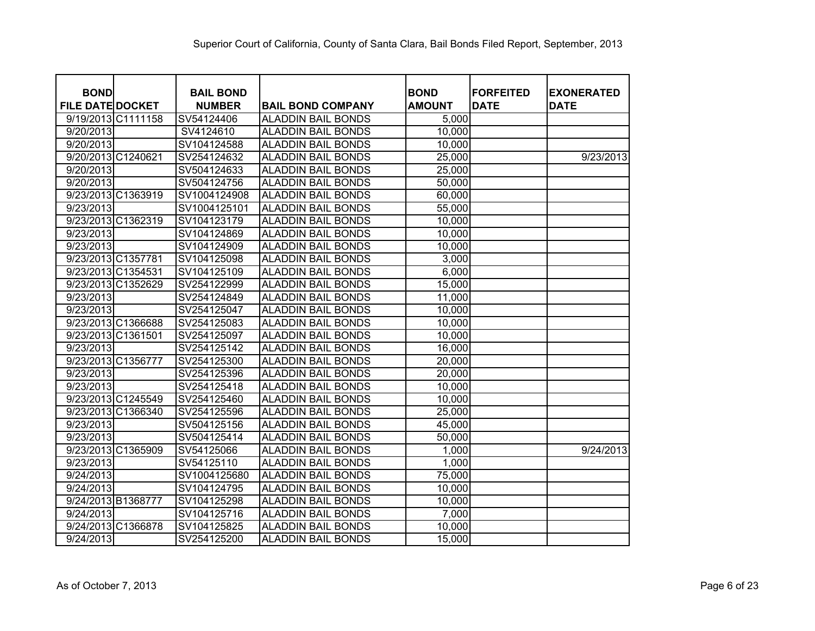| <b>BOND</b><br><b>FILE DATE DOCKET</b> | <b>BAIL BOND</b><br><b>NUMBER</b> | <b>BAIL BOND COMPANY</b>  | <b>BOND</b><br><b>AMOUNT</b> | <b>FORFEITED</b><br><b>DATE</b> | <b>EXONERATED</b><br><b>DATE</b> |
|----------------------------------------|-----------------------------------|---------------------------|------------------------------|---------------------------------|----------------------------------|
| 9/19/2013 C1111158                     | SV54124406                        | <b>ALADDIN BAIL BONDS</b> | 5,000                        |                                 |                                  |
| 9/20/2013                              | SV4124610                         | <b>ALADDIN BAIL BONDS</b> | 10,000                       |                                 |                                  |
| 9/20/2013                              | SV104124588                       | <b>ALADDIN BAIL BONDS</b> | 10,000                       |                                 |                                  |
| 9/20/2013 C1240621                     | SV254124632                       | <b>ALADDIN BAIL BONDS</b> | 25,000                       |                                 | 9/23/2013                        |
| 9/20/2013                              | SV504124633                       | <b>ALADDIN BAIL BONDS</b> | 25,000                       |                                 |                                  |
| 9/20/2013                              | SV504124756                       | <b>ALADDIN BAIL BONDS</b> | 50,000                       |                                 |                                  |
| 9/23/2013 C1363919                     | SV1004124908                      | <b>ALADDIN BAIL BONDS</b> | 60,000                       |                                 |                                  |
| 9/23/2013                              | SV1004125101                      | <b>ALADDIN BAIL BONDS</b> | 55,000                       |                                 |                                  |
| 9/23/2013 C1362319                     | SV104123179                       | ALADDIN BAIL BONDS        | 10,000                       |                                 |                                  |
| 9/23/2013                              | SV104124869                       | ALADDIN BAIL BONDS        | 10,000                       |                                 |                                  |
| 9/23/2013                              | SV104124909                       | ALADDIN BAIL BONDS        | 10,000                       |                                 |                                  |
| 9/23/2013 C1357781                     | SV104125098                       | ALADDIN BAIL BONDS        | 3,000                        |                                 |                                  |
| 9/23/2013 C1354531                     | SV104125109                       | ALADDIN BAIL BONDS        | 6,000                        |                                 |                                  |
| 9/23/2013 C1352629                     | SV254122999                       | ALADDIN BAIL BONDS        | 15,000                       |                                 |                                  |
| 9/23/2013                              | SV254124849                       | ALADDIN BAIL BONDS        | 11,000                       |                                 |                                  |
| 9/23/2013                              | SV254125047                       | ALADDIN BAIL BONDS        | 10,000                       |                                 |                                  |
| 9/23/2013 C1366688                     | SV254125083                       | ALADDIN BAIL BONDS        | 10,000                       |                                 |                                  |
| 9/23/2013 C1361501                     | SV254125097                       | <b>ALADDIN BAIL BONDS</b> | 10,000                       |                                 |                                  |
| 9/23/2013                              | SV254125142                       | ALADDIN BAIL BONDS        | 16,000                       |                                 |                                  |
| 9/23/2013 C1356777                     | SV254125300                       | <b>ALADDIN BAIL BONDS</b> | 20,000                       |                                 |                                  |
| 9/23/2013                              | SV254125396                       | ALADDIN BAIL BONDS        | 20,000                       |                                 |                                  |
| 9/23/2013                              | SV254125418                       | <b>ALADDIN BAIL BONDS</b> | 10,000                       |                                 |                                  |
| 9/23/2013 C1245549                     | SV254125460                       | <b>ALADDIN BAIL BONDS</b> | 10,000                       |                                 |                                  |
| 9/23/2013 C1366340                     | SV254125596                       | <b>ALADDIN BAIL BONDS</b> | 25,000                       |                                 |                                  |
| 9/23/2013                              | SV504125156                       | <b>ALADDIN BAIL BONDS</b> | 45,000                       |                                 |                                  |
| 9/23/2013                              | SV504125414                       | <b>ALADDIN BAIL BONDS</b> | 50,000                       |                                 |                                  |
| 9/23/2013 C1365909                     | SV54125066                        | <b>ALADDIN BAIL BONDS</b> | 1,000                        |                                 | 9/24/2013                        |
| 9/23/2013                              | SV54125110                        | <b>ALADDIN BAIL BONDS</b> | 1,000                        |                                 |                                  |
| 9/24/2013                              | SV1004125680                      | <b>ALADDIN BAIL BONDS</b> | 75,000                       |                                 |                                  |
| 9/24/2013                              | SV104124795                       | <b>ALADDIN BAIL BONDS</b> | 10,000                       |                                 |                                  |
| 9/24/2013 B1368777                     | SV104125298                       | <b>ALADDIN BAIL BONDS</b> | 10,000                       |                                 |                                  |
| 9/24/2013                              | SV104125716                       | <b>ALADDIN BAIL BONDS</b> | 7,000                        |                                 |                                  |
| 9/24/2013 C1366878                     | SV104125825                       | <b>ALADDIN BAIL BONDS</b> | 10,000                       |                                 |                                  |
| 9/24/2013                              | SV254125200                       | <b>ALADDIN BAIL BONDS</b> | 15,000                       |                                 |                                  |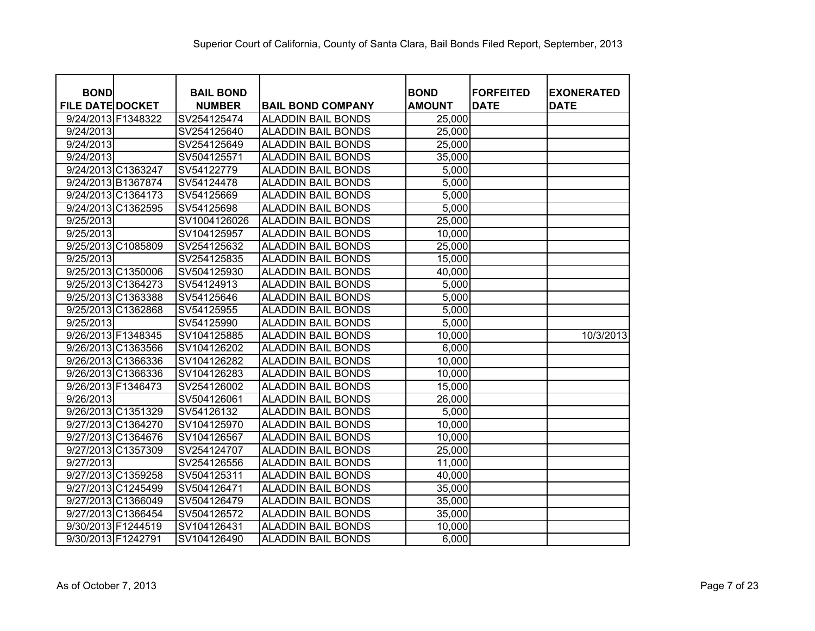| <b>BOND</b><br><b>FILE DATE DOCKET</b> | <b>BAIL BOND</b><br><b>NUMBER</b> | <b>BAIL BOND COMPANY</b>  | <b>BOND</b><br><b>AMOUNT</b> | <b>FORFEITED</b><br><b>DATE</b> | <b>EXONERATED</b><br><b>DATE</b> |
|----------------------------------------|-----------------------------------|---------------------------|------------------------------|---------------------------------|----------------------------------|
| 9/24/2013 F1348322                     | SV254125474                       | <b>ALADDIN BAIL BONDS</b> | 25,000                       |                                 |                                  |
| 9/24/2013                              | SV254125640                       | <b>ALADDIN BAIL BONDS</b> | 25,000                       |                                 |                                  |
| 9/24/2013                              | SV254125649                       | <b>ALADDIN BAIL BONDS</b> | 25,000                       |                                 |                                  |
| 9/24/2013                              | SV504125571                       | <b>ALADDIN BAIL BONDS</b> | 35,000                       |                                 |                                  |
| 9/24/2013 C1363247                     | SV54122779                        | <b>ALADDIN BAIL BONDS</b> | 5,000                        |                                 |                                  |
| 9/24/2013 B1367874                     | SV54124478                        | <b>ALADDIN BAIL BONDS</b> | 5,000                        |                                 |                                  |
| 9/24/2013 C1364173                     | SV54125669                        | <b>ALADDIN BAIL BONDS</b> | 5,000                        |                                 |                                  |
| 9/24/2013 C1362595                     | SV54125698                        | <b>ALADDIN BAIL BONDS</b> | 5,000                        |                                 |                                  |
| 9/25/2013                              | SV1004126026                      | <b>ALADDIN BAIL BONDS</b> | 25,000                       |                                 |                                  |
| 9/25/2013                              | SV104125957                       | <b>ALADDIN BAIL BONDS</b> | 10,000                       |                                 |                                  |
| 9/25/2013 C1085809                     | SV254125632                       | <b>ALADDIN BAIL BONDS</b> | 25,000                       |                                 |                                  |
| 9/25/2013                              | SV254125835                       | <b>ALADDIN BAIL BONDS</b> | 15,000                       |                                 |                                  |
| 9/25/2013 C1350006                     | SV504125930                       | <b>ALADDIN BAIL BONDS</b> | 40,000                       |                                 |                                  |
| 9/25/2013 C1364273                     | SV54124913                        | <b>ALADDIN BAIL BONDS</b> | 5,000                        |                                 |                                  |
| 9/25/2013 C1363388                     | SV54125646                        | <b>ALADDIN BAIL BONDS</b> | 5,000                        |                                 |                                  |
| 9/25/2013 C1362868                     | SV54125955                        | <b>ALADDIN BAIL BONDS</b> | 5,000                        |                                 |                                  |
| 9/25/2013                              | SV54125990                        | <b>ALADDIN BAIL BONDS</b> | 5,000                        |                                 |                                  |
| 9/26/2013 F1348345                     | SV104125885                       | <b>ALADDIN BAIL BONDS</b> | 10,000                       |                                 | 10/3/2013                        |
| 9/26/2013 C1363566                     | SV104126202                       | <b>ALADDIN BAIL BONDS</b> | 6,000                        |                                 |                                  |
| 9/26/2013 C1366336                     | SV104126282                       | <b>ALADDIN BAIL BONDS</b> | 10,000                       |                                 |                                  |
| 9/26/2013 C1366336                     | SV104126283                       | <b>ALADDIN BAIL BONDS</b> | 10,000                       |                                 |                                  |
| 9/26/2013 F1346473                     | SV254126002                       | <b>ALADDIN BAIL BONDS</b> | 15,000                       |                                 |                                  |
| 9/26/2013                              | SV504126061                       | <b>ALADDIN BAIL BONDS</b> | 26,000                       |                                 |                                  |
| 9/26/2013 C1351329                     | SV54126132                        | <b>ALADDIN BAIL BONDS</b> | 5,000                        |                                 |                                  |
| 9/27/2013 C1364270                     | SV104125970                       | <b>ALADDIN BAIL BONDS</b> | 10,000                       |                                 |                                  |
| 9/27/2013 C1364676                     | SV104126567                       | <b>ALADDIN BAIL BONDS</b> | 10,000                       |                                 |                                  |
| 9/27/2013 C1357309                     | SV254124707                       | <b>ALADDIN BAIL BONDS</b> | 25,000                       |                                 |                                  |
| 9/27/2013                              | SV254126556                       | <b>ALADDIN BAIL BONDS</b> | 11,000                       |                                 |                                  |
| 9/27/2013 C1359258                     | SV504125311                       | <b>ALADDIN BAIL BONDS</b> | 40,000                       |                                 |                                  |
| 9/27/2013 C1245499                     | SV504126471                       | <b>ALADDIN BAIL BONDS</b> | 35,000                       |                                 |                                  |
| 9/27/2013 C1366049                     | SV504126479                       | <b>ALADDIN BAIL BONDS</b> | 35,000                       |                                 |                                  |
| 9/27/2013 C1366454                     | SV504126572                       | <b>ALADDIN BAIL BONDS</b> | 35,000                       |                                 |                                  |
| 9/30/2013 F1244519                     | SV104126431                       | <b>ALADDIN BAIL BONDS</b> | 10,000                       |                                 |                                  |
| 9/30/2013 F1242791                     | SV104126490                       | <b>ALADDIN BAIL BONDS</b> | 6,000                        |                                 |                                  |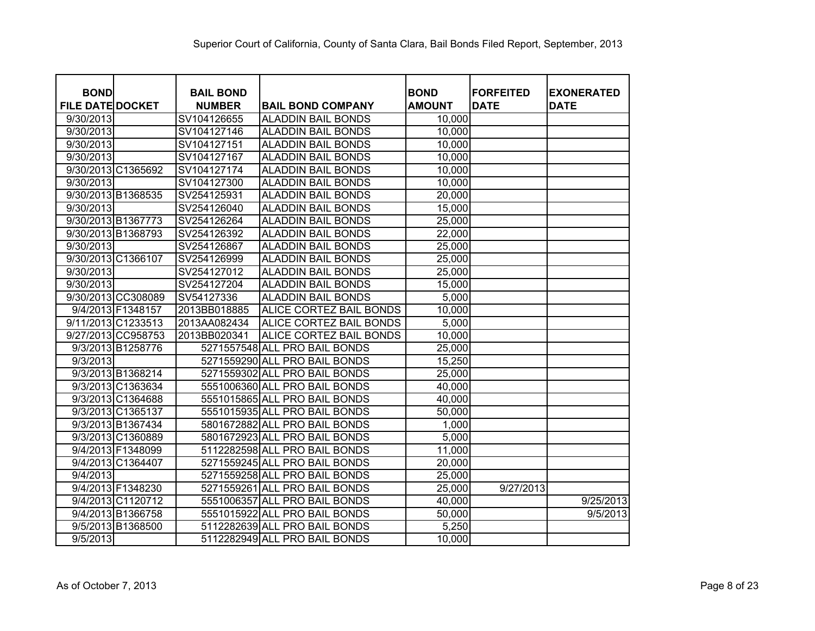| <b>BOND</b><br><b>FILE DATE DOCKET</b> |                   | <b>BAIL BOND</b><br><b>NUMBER</b> | <b>BAIL BOND COMPANY</b>      | <b>BOND</b><br><b>AMOUNT</b> | <b>FORFEITED</b><br><b>DATE</b> | <b>EXONERATED</b><br><b>DATE</b> |
|----------------------------------------|-------------------|-----------------------------------|-------------------------------|------------------------------|---------------------------------|----------------------------------|
| 9/30/2013                              |                   | SV104126655                       | <b>ALADDIN BAIL BONDS</b>     | 10,000                       |                                 |                                  |
| 9/30/2013                              |                   | SV104127146                       | <b>ALADDIN BAIL BONDS</b>     | 10,000                       |                                 |                                  |
| 9/30/2013                              |                   | SV104127151                       | <b>ALADDIN BAIL BONDS</b>     | 10,000                       |                                 |                                  |
| 9/30/2013                              |                   | SV104127167                       | <b>ALADDIN BAIL BONDS</b>     | 10,000                       |                                 |                                  |
| 9/30/2013 C1365692                     |                   | SV104127174                       | <b>ALADDIN BAIL BONDS</b>     | 10,000                       |                                 |                                  |
| 9/30/2013                              |                   | SV104127300                       | <b>ALADDIN BAIL BONDS</b>     | 10,000                       |                                 |                                  |
| 9/30/2013 B1368535                     |                   | SV254125931                       | <b>ALADDIN BAIL BONDS</b>     | 20,000                       |                                 |                                  |
| 9/30/2013                              |                   | SV254126040                       | <b>ALADDIN BAIL BONDS</b>     | 15,000                       |                                 |                                  |
| 9/30/2013 B1367773                     |                   | SV254126264                       | <b>ALADDIN BAIL BONDS</b>     | 25,000                       |                                 |                                  |
| 9/30/2013 B1368793                     |                   | SV254126392                       | <b>ALADDIN BAIL BONDS</b>     | 22,000                       |                                 |                                  |
| 9/30/2013                              |                   | SV254126867                       | <b>ALADDIN BAIL BONDS</b>     | 25,000                       |                                 |                                  |
| 9/30/2013 C1366107                     |                   | SV254126999                       | <b>ALADDIN BAIL BONDS</b>     | 25,000                       |                                 |                                  |
| 9/30/2013                              |                   | SV254127012                       | <b>ALADDIN BAIL BONDS</b>     | 25,000                       |                                 |                                  |
| 9/30/2013                              |                   | SV254127204                       | <b>ALADDIN BAIL BONDS</b>     | 15,000                       |                                 |                                  |
| 9/30/2013 CC308089                     |                   | SV54127336                        | <b>ALADDIN BAIL BONDS</b>     | 5,000                        |                                 |                                  |
|                                        | 9/4/2013 F1348157 | 2013BB018885                      | ALICE CORTEZ BAIL BONDS       | 10,000                       |                                 |                                  |
| 9/11/2013 C1233513                     |                   | 2013AA082434                      | ALICE CORTEZ BAIL BONDS       | 5,000                        |                                 |                                  |
| 9/27/2013 CC958753                     |                   | 2013BB020341                      | ALICE CORTEZ BAIL BONDS       | 10,000                       |                                 |                                  |
|                                        | 9/3/2013 B1258776 |                                   | 5271557548 ALL PRO BAIL BONDS | 25,000                       |                                 |                                  |
| 9/3/2013                               |                   |                                   | 5271559290 ALL PRO BAIL BONDS | 15,250                       |                                 |                                  |
|                                        | 9/3/2013 B1368214 |                                   | 5271559302 ALL PRO BAIL BONDS | 25,000                       |                                 |                                  |
|                                        | 9/3/2013 C1363634 |                                   | 5551006360 ALL PRO BAIL BONDS | 40,000                       |                                 |                                  |
|                                        | 9/3/2013 C1364688 |                                   | 5551015865 ALL PRO BAIL BONDS | 40,000                       |                                 |                                  |
|                                        | 9/3/2013 C1365137 |                                   | 5551015935 ALL PRO BAIL BONDS | 50,000                       |                                 |                                  |
|                                        | 9/3/2013 B1367434 |                                   | 5801672882 ALL PRO BAIL BONDS | 1,000                        |                                 |                                  |
|                                        | 9/3/2013 C1360889 |                                   | 5801672923 ALL PRO BAIL BONDS | 5,000                        |                                 |                                  |
|                                        | 9/4/2013 F1348099 |                                   | 5112282598 ALL PRO BAIL BONDS | 11,000                       |                                 |                                  |
|                                        | 9/4/2013 C1364407 |                                   | 5271559245 ALL PRO BAIL BONDS | 20,000                       |                                 |                                  |
| 9/4/2013                               |                   |                                   | 5271559258 ALL PRO BAIL BONDS | 25,000                       |                                 |                                  |
|                                        | 9/4/2013 F1348230 |                                   | 5271559261 ALL PRO BAIL BONDS | 25,000                       | 9/27/2013                       |                                  |
|                                        | 9/4/2013 C1120712 |                                   | 5551006357 ALL PRO BAIL BONDS | 40,000                       |                                 | 9/25/2013                        |
|                                        | 9/4/2013 B1366758 |                                   | 5551015922 ALL PRO BAIL BONDS | 50,000                       |                                 | 9/5/2013                         |
|                                        | 9/5/2013 B1368500 |                                   | 5112282639 ALL PRO BAIL BONDS | 5,250                        |                                 |                                  |
| 9/5/2013                               |                   |                                   | 5112282949 ALL PRO BAIL BONDS | 10,000                       |                                 |                                  |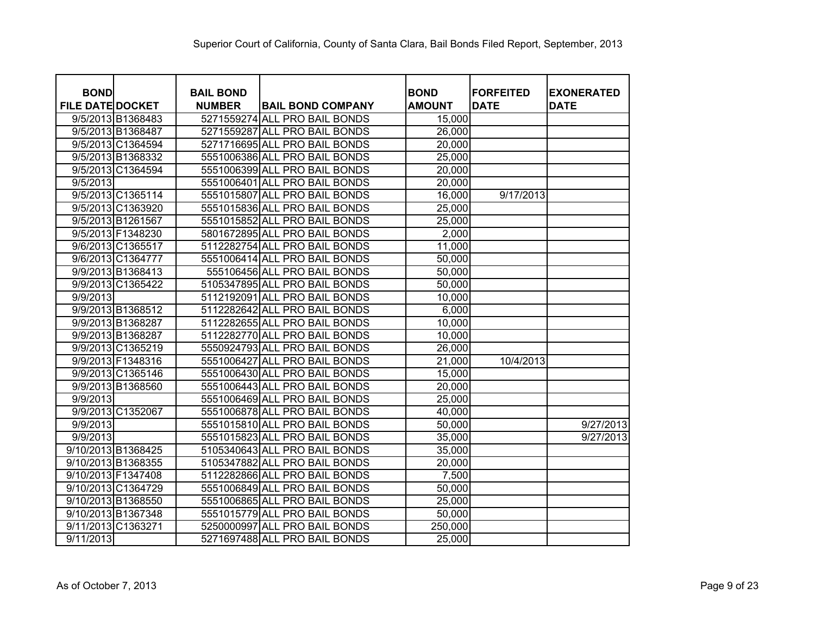| <b>BOND</b>             |                   | <b>BAIL BOND</b> |                               | <b>BOND</b>         | <b>FORFEITED</b> | <b>EXONERATED</b> |
|-------------------------|-------------------|------------------|-------------------------------|---------------------|------------------|-------------------|
| <b>FILE DATE DOCKET</b> |                   | <b>NUMBER</b>    | <b>BAIL BOND COMPANY</b>      | <b>AMOUNT</b>       | <b>DATE</b>      | <b>DATE</b>       |
|                         | 9/5/2013 B1368483 |                  | 5271559274 ALL PRO BAIL BONDS | 15,000              |                  |                   |
|                         | 9/5/2013 B1368487 |                  | 5271559287 ALL PRO BAIL BONDS | $\overline{26,000}$ |                  |                   |
|                         | 9/5/2013 C1364594 |                  | 5271716695 ALL PRO BAIL BONDS | 20,000              |                  |                   |
|                         | 9/5/2013 B1368332 |                  | 5551006386 ALL PRO BAIL BONDS | 25,000              |                  |                   |
|                         | 9/5/2013 C1364594 |                  | 5551006399 ALL PRO BAIL BONDS | 20,000              |                  |                   |
| 9/5/2013                |                   |                  | 5551006401 ALL PRO BAIL BONDS | 20,000              |                  |                   |
|                         | 9/5/2013 C1365114 |                  | 5551015807 ALL PRO BAIL BONDS | 16,000              | 9/17/2013        |                   |
|                         | 9/5/2013 C1363920 |                  | 5551015836 ALL PRO BAIL BONDS | 25,000              |                  |                   |
|                         | 9/5/2013 B1261567 |                  | 5551015852 ALL PRO BAIL BONDS | 25,000              |                  |                   |
|                         | 9/5/2013 F1348230 |                  | 5801672895 ALL PRO BAIL BONDS | 2,000               |                  |                   |
|                         | 9/6/2013 C1365517 |                  | 5112282754 ALL PRO BAIL BONDS | 11,000              |                  |                   |
|                         | 9/6/2013 C1364777 |                  | 5551006414 ALL PRO BAIL BONDS | 50,000              |                  |                   |
|                         | 9/9/2013 B1368413 |                  | 555106456 ALL PRO BAIL BONDS  | 50,000              |                  |                   |
|                         | 9/9/2013 C1365422 |                  | 5105347895 ALL PRO BAIL BONDS | 50,000              |                  |                   |
| 9/9/2013                |                   |                  | 5112192091 ALL PRO BAIL BONDS | 10,000              |                  |                   |
|                         | 9/9/2013 B1368512 |                  | 5112282642 ALL PRO BAIL BONDS | 6,000               |                  |                   |
|                         | 9/9/2013 B1368287 |                  | 5112282655 ALL PRO BAIL BONDS | 10,000              |                  |                   |
|                         | 9/9/2013 B1368287 |                  | 5112282770 ALL PRO BAIL BONDS | 10,000              |                  |                   |
|                         | 9/9/2013 C1365219 |                  | 5550924793 ALL PRO BAIL BONDS | 26,000              |                  |                   |
|                         | 9/9/2013 F1348316 |                  | 5551006427 ALL PRO BAIL BONDS | 21,000              | 10/4/2013        |                   |
|                         | 9/9/2013 C1365146 |                  | 5551006430 ALL PRO BAIL BONDS | 15,000              |                  |                   |
|                         | 9/9/2013 B1368560 |                  | 5551006443 ALL PRO BAIL BONDS | 20,000              |                  |                   |
| 9/9/2013                |                   |                  | 5551006469 ALL PRO BAIL BONDS | 25,000              |                  |                   |
|                         | 9/9/2013 C1352067 |                  | 5551006878 ALL PRO BAIL BONDS | 40,000              |                  |                   |
| 9/9/2013                |                   |                  | 5551015810 ALL PRO BAIL BONDS | 50,000              |                  | 9/27/2013         |
| 9/9/2013                |                   |                  | 5551015823 ALL PRO BAIL BONDS | 35,000              |                  | 9/27/2013         |
| 9/10/2013 B1368425      |                   |                  | 5105340643 ALL PRO BAIL BONDS | 35,000              |                  |                   |
| 9/10/2013 B1368355      |                   |                  | 5105347882 ALL PRO BAIL BONDS | 20,000              |                  |                   |
| 9/10/2013 F1347408      |                   |                  | 5112282866 ALL PRO BAIL BONDS | 7,500               |                  |                   |
| 9/10/2013 C1364729      |                   |                  | 5551006849 ALL PRO BAIL BONDS | 50,000              |                  |                   |
| 9/10/2013 B1368550      |                   |                  | 5551006865 ALL PRO BAIL BONDS | 25,000              |                  |                   |
| 9/10/2013 B1367348      |                   |                  | 5551015779 ALL PRO BAIL BONDS | 50,000              |                  |                   |
| 9/11/2013 C1363271      |                   |                  | 5250000997 ALL PRO BAIL BONDS | 250,000             |                  |                   |
| 9/11/2013               |                   |                  | 5271697488 ALL PRO BAIL BONDS | 25,000              |                  |                   |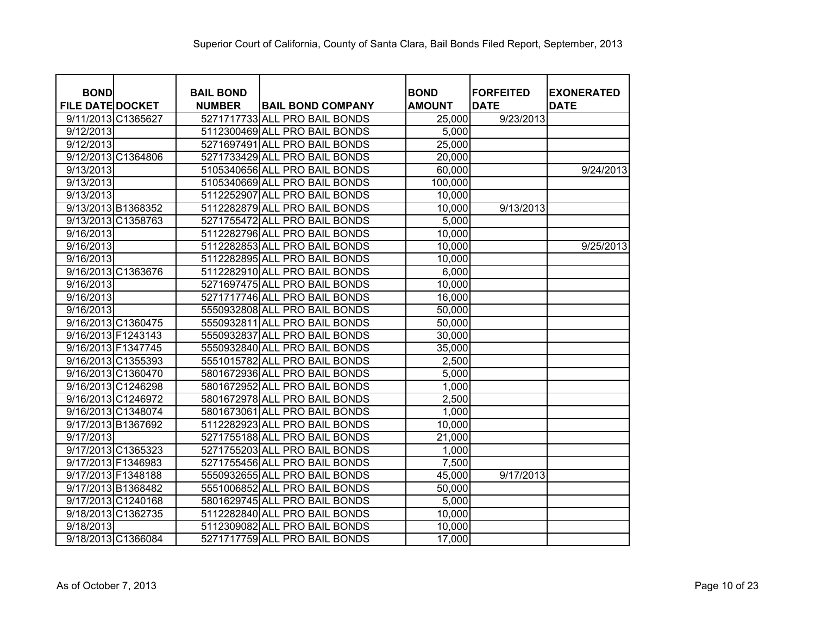| <b>BOND</b><br><b>FILE DATE DOCKET</b> | <b>BAIL BOND</b><br><b>NUMBER</b> | <b>BAIL BOND COMPANY</b>      | <b>BOND</b><br><b>AMOUNT</b> | <b>FORFEITED</b><br><b>DATE</b> | <b>EXONERATED</b><br><b>DATE</b> |
|----------------------------------------|-----------------------------------|-------------------------------|------------------------------|---------------------------------|----------------------------------|
| 9/11/2013 C1365627                     |                                   | 5271717733 ALL PRO BAIL BONDS | 25,000                       | 9/23/2013                       |                                  |
| 9/12/2013                              |                                   | 5112300469 ALL PRO BAIL BONDS | 5,000                        |                                 |                                  |
| 9/12/2013                              |                                   | 5271697491 ALL PRO BAIL BONDS | 25,000                       |                                 |                                  |
| 9/12/2013 C1364806                     |                                   | 5271733429 ALL PRO BAIL BONDS | 20,000                       |                                 |                                  |
| 9/13/2013                              |                                   | 5105340656 ALL PRO BAIL BONDS | 60,000                       |                                 | 9/24/2013                        |
| 9/13/2013                              |                                   | 5105340669 ALL PRO BAIL BONDS | 100,000                      |                                 |                                  |
| 9/13/2013                              |                                   | 5112252907 ALL PRO BAIL BONDS | 10,000                       |                                 |                                  |
| 9/13/2013 B1368352                     |                                   | 5112282879 ALL PRO BAIL BONDS | 10,000                       | 9/13/2013                       |                                  |
| 9/13/2013 C1358763                     |                                   | 5271755472 ALL PRO BAIL BONDS | 5,000                        |                                 |                                  |
| 9/16/2013                              |                                   | 5112282796 ALL PRO BAIL BONDS | 10,000                       |                                 |                                  |
| 9/16/2013                              |                                   | 5112282853 ALL PRO BAIL BONDS | 10,000                       |                                 | 9/25/2013                        |
| 9/16/2013                              |                                   | 5112282895 ALL PRO BAIL BONDS | 10,000                       |                                 |                                  |
| 9/16/2013 C1363676                     |                                   | 5112282910 ALL PRO BAIL BONDS | 6,000                        |                                 |                                  |
| 9/16/2013                              |                                   | 5271697475 ALL PRO BAIL BONDS | 10,000                       |                                 |                                  |
| 9/16/2013                              |                                   | 5271717746 ALL PRO BAIL BONDS | 16,000                       |                                 |                                  |
| 9/16/2013                              |                                   | 5550932808 ALL PRO BAIL BONDS | 50,000                       |                                 |                                  |
| 9/16/2013 C1360475                     |                                   | 5550932811 ALL PRO BAIL BONDS | 50,000                       |                                 |                                  |
| 9/16/2013 F1243143                     |                                   | 5550932837 ALL PRO BAIL BONDS | 30,000                       |                                 |                                  |
| 9/16/2013 F1347745                     |                                   | 5550932840 ALL PRO BAIL BONDS | 35,000                       |                                 |                                  |
| 9/16/2013 C1355393                     |                                   | 5551015782 ALL PRO BAIL BONDS | 2,500                        |                                 |                                  |
| 9/16/2013 C1360470                     |                                   | 5801672936 ALL PRO BAIL BONDS | 5,000                        |                                 |                                  |
| 9/16/2013 C1246298                     |                                   | 5801672952 ALL PRO BAIL BONDS | 1,000                        |                                 |                                  |
| 9/16/2013 C1246972                     |                                   | 5801672978 ALL PRO BAIL BONDS | 2,500                        |                                 |                                  |
| 9/16/2013 C1348074                     |                                   | 5801673061 ALL PRO BAIL BONDS | 1,000                        |                                 |                                  |
| 9/17/2013 B1367692                     |                                   | 5112282923 ALL PRO BAIL BONDS | 10,000                       |                                 |                                  |
| 9/17/2013                              |                                   | 5271755188 ALL PRO BAIL BONDS | 21,000                       |                                 |                                  |
| 9/17/2013 C1365323                     |                                   | 5271755203 ALL PRO BAIL BONDS | 1,000                        |                                 |                                  |
| 9/17/2013 F1346983                     |                                   | 5271755456 ALL PRO BAIL BONDS | 7,500                        |                                 |                                  |
| 9/17/2013 F1348188                     |                                   | 5550932655 ALL PRO BAIL BONDS | 45,000                       | 9/17/2013                       |                                  |
| 9/17/2013 B1368482                     |                                   | 5551006852 ALL PRO BAIL BONDS | 50,000                       |                                 |                                  |
| 9/17/2013 C1240168                     |                                   | 5801629745 ALL PRO BAIL BONDS | 5,000                        |                                 |                                  |
| 9/18/2013 C1362735                     |                                   | 5112282840 ALL PRO BAIL BONDS | 10,000                       |                                 |                                  |
| 9/18/2013                              |                                   | 5112309082 ALL PRO BAIL BONDS | 10,000                       |                                 |                                  |
| 9/18/2013 C1366084                     |                                   | 5271717759 ALL PRO BAIL BONDS | 17,000                       |                                 |                                  |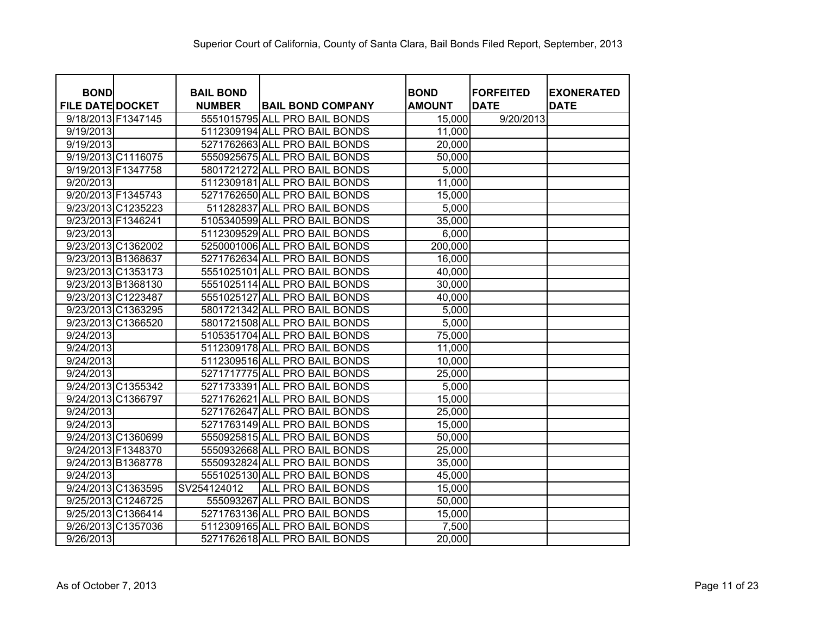| <b>BOND</b>             | <b>BAIL BOND</b> |                               | <b>BOND</b>   | <b>FORFEITED</b> | <b>EXONERATED</b> |
|-------------------------|------------------|-------------------------------|---------------|------------------|-------------------|
| <b>FILE DATE DOCKET</b> | <b>NUMBER</b>    | <b>BAIL BOND COMPANY</b>      | <b>AMOUNT</b> | <b>DATE</b>      | <b>DATE</b>       |
| 9/18/2013 F1347145      |                  | 5551015795 ALL PRO BAIL BONDS | 15,000        | 9/20/2013        |                   |
| 9/19/2013               |                  | 5112309194 ALL PRO BAIL BONDS | 11,000        |                  |                   |
| 9/19/2013               |                  | 5271762663 ALL PRO BAIL BONDS | 20,000        |                  |                   |
| 9/19/2013 C1116075      |                  | 5550925675 ALL PRO BAIL BONDS | 50,000        |                  |                   |
| 9/19/2013 F1347758      |                  | 5801721272 ALL PRO BAIL BONDS | 5,000         |                  |                   |
| 9/20/2013               |                  | 5112309181 ALL PRO BAIL BONDS | 11,000        |                  |                   |
| 9/20/2013 F1345743      |                  | 5271762650 ALL PRO BAIL BONDS | 15,000        |                  |                   |
| 9/23/2013 C1235223      |                  | 511282837 ALL PRO BAIL BONDS  | 5,000         |                  |                   |
| 9/23/2013 F1346241      |                  | 5105340599 ALL PRO BAIL BONDS | 35,000        |                  |                   |
| 9/23/2013               |                  | 5112309529 ALL PRO BAIL BONDS | 6,000         |                  |                   |
| 9/23/2013 C1362002      |                  | 5250001006 ALL PRO BAIL BONDS | 200,000       |                  |                   |
| 9/23/2013 B1368637      |                  | 5271762634 ALL PRO BAIL BONDS | 16,000        |                  |                   |
| 9/23/2013 C1353173      |                  | 5551025101 ALL PRO BAIL BONDS | 40,000        |                  |                   |
| 9/23/2013 B1368130      |                  | 5551025114 ALL PRO BAIL BONDS | 30,000        |                  |                   |
| 9/23/2013 C1223487      |                  | 5551025127 ALL PRO BAIL BONDS | 40,000        |                  |                   |
| 9/23/2013 C1363295      |                  | 5801721342 ALL PRO BAIL BONDS | 5,000         |                  |                   |
| 9/23/2013 C1366520      |                  | 5801721508 ALL PRO BAIL BONDS | 5,000         |                  |                   |
| 9/24/2013               |                  | 5105351704 ALL PRO BAIL BONDS | 75,000        |                  |                   |
| 9/24/2013               |                  | 5112309178 ALL PRO BAIL BONDS | 11,000        |                  |                   |
| 9/24/2013               |                  | 5112309516 ALL PRO BAIL BONDS | 10,000        |                  |                   |
| 9/24/2013               |                  | 5271717775 ALL PRO BAIL BONDS | 25,000        |                  |                   |
| 9/24/2013 C1355342      |                  | 5271733391 ALL PRO BAIL BONDS | 5,000         |                  |                   |
| 9/24/2013 C1366797      |                  | 5271762621 ALL PRO BAIL BONDS | 15,000        |                  |                   |
| 9/24/2013               |                  | 5271762647 ALL PRO BAIL BONDS | 25,000        |                  |                   |
| 9/24/2013               |                  | 5271763149 ALL PRO BAIL BONDS | 15,000        |                  |                   |
| 9/24/2013 C1360699      |                  | 5550925815 ALL PRO BAIL BONDS | 50,000        |                  |                   |
| 9/24/2013 F1348370      |                  | 5550932668 ALL PRO BAIL BONDS | 25,000        |                  |                   |
| 9/24/2013 B1368778      |                  | 5550932824 ALL PRO BAIL BONDS | 35,000        |                  |                   |
| 9/24/2013               |                  | 5551025130 ALL PRO BAIL BONDS | 45,000        |                  |                   |
| 9/24/2013 C1363595      | SV254124012      | <b>ALL PRO BAIL BONDS</b>     | 15,000        |                  |                   |
| 9/25/2013 C1246725      |                  | 555093267 ALL PRO BAIL BONDS  | 50,000        |                  |                   |
| 9/25/2013 C1366414      |                  | 5271763136 ALL PRO BAIL BONDS | 15,000        |                  |                   |
| 9/26/2013 C1357036      |                  | 5112309165 ALL PRO BAIL BONDS | 7,500         |                  |                   |
| 9/26/2013               |                  | 5271762618 ALL PRO BAIL BONDS | 20,000        |                  |                   |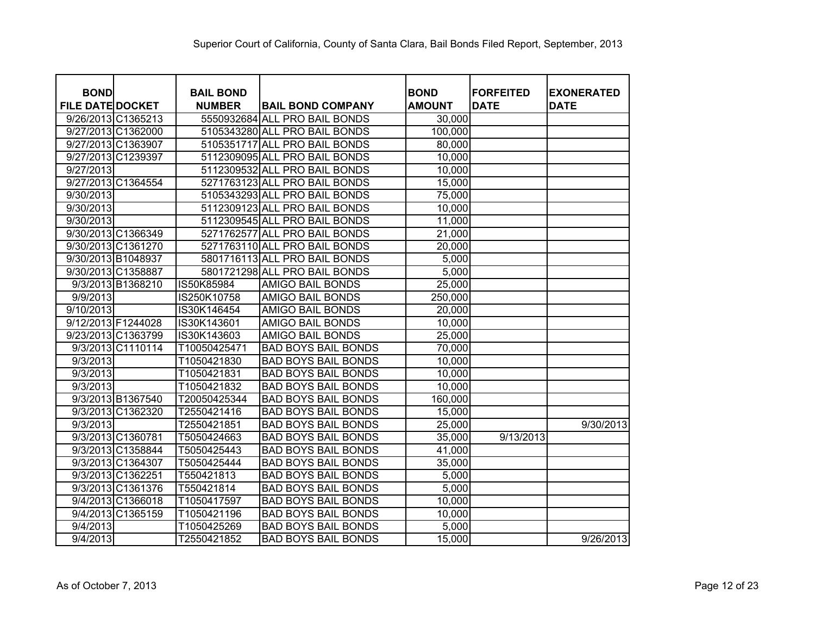| <b>BOND</b>             |                   | <b>BAIL BOND</b> |                               | <b>BOND</b>   | <b>FORFEITED</b> | <b>EXONERATED</b> |
|-------------------------|-------------------|------------------|-------------------------------|---------------|------------------|-------------------|
| <b>FILE DATE DOCKET</b> |                   | <b>NUMBER</b>    | <b>BAIL BOND COMPANY</b>      | <b>AMOUNT</b> | <b>DATE</b>      | <b>DATE</b>       |
| 9/26/2013 C1365213      |                   |                  | 5550932684 ALL PRO BAIL BONDS | 30,000        |                  |                   |
| 9/27/2013 C1362000      |                   |                  | 5105343280 ALL PRO BAIL BONDS | 100,000       |                  |                   |
| 9/27/2013 C1363907      |                   |                  | 5105351717 ALL PRO BAIL BONDS | 80,000        |                  |                   |
| 9/27/2013 C1239397      |                   |                  | 5112309095 ALL PRO BAIL BONDS | 10,000        |                  |                   |
| 9/27/2013               |                   |                  | 5112309532 ALL PRO BAIL BONDS | 10,000        |                  |                   |
| 9/27/2013 C1364554      |                   |                  | 5271763123 ALL PRO BAIL BONDS | 15,000        |                  |                   |
| 9/30/2013               |                   |                  | 5105343293 ALL PRO BAIL BONDS | 75,000        |                  |                   |
| 9/30/2013               |                   |                  | 5112309123 ALL PRO BAIL BONDS | 10,000        |                  |                   |
| 9/30/2013               |                   |                  | 5112309545 ALL PRO BAIL BONDS | 11,000        |                  |                   |
| 9/30/2013 C1366349      |                   |                  | 5271762577 ALL PRO BAIL BONDS | 21,000        |                  |                   |
| 9/30/2013 C1361270      |                   |                  | 5271763110 ALL PRO BAIL BONDS | 20,000        |                  |                   |
| 9/30/2013 B1048937      |                   |                  | 5801716113 ALL PRO BAIL BONDS | 5,000         |                  |                   |
| 9/30/2013 C1358887      |                   |                  | 5801721298 ALL PRO BAIL BONDS | 5,000         |                  |                   |
|                         | 9/3/2013 B1368210 | IS50K85984       | <b>AMIGO BAIL BONDS</b>       | 25,000        |                  |                   |
| 9/9/2013                |                   | IS250K10758      | AMIGO BAIL BONDS              | 250,000       |                  |                   |
| 9/10/2013               |                   | IS30K146454      | <b>AMIGO BAIL BONDS</b>       | 20,000        |                  |                   |
| 9/12/2013 F1244028      |                   | IS30K143601      | <b>AMIGO BAIL BONDS</b>       | 10,000        |                  |                   |
| 9/23/2013 C1363799      |                   | IS30K143603      | AMIGO BAIL BONDS              | 25,000        |                  |                   |
|                         | 9/3/2013 C1110114 | T10050425471     | <b>BAD BOYS BAIL BONDS</b>    | 70,000        |                  |                   |
| 9/3/2013                |                   | T1050421830      | <b>BAD BOYS BAIL BONDS</b>    | 10,000        |                  |                   |
| 9/3/2013                |                   | T1050421831      | <b>BAD BOYS BAIL BONDS</b>    | 10,000        |                  |                   |
| 9/3/2013                |                   | T1050421832      | <b>BAD BOYS BAIL BONDS</b>    | 10,000        |                  |                   |
|                         | 9/3/2013 B1367540 | T20050425344     | <b>BAD BOYS BAIL BONDS</b>    | 160,000       |                  |                   |
|                         | 9/3/2013 C1362320 | T2550421416      | <b>BAD BOYS BAIL BONDS</b>    | 15,000        |                  |                   |
| 9/3/2013                |                   | T2550421851      | <b>BAD BOYS BAIL BONDS</b>    | 25,000        |                  | 9/30/2013         |
|                         | 9/3/2013 C1360781 | T5050424663      | <b>BAD BOYS BAIL BONDS</b>    | 35,000        | 9/13/2013        |                   |
|                         | 9/3/2013 C1358844 | T5050425443      | <b>BAD BOYS BAIL BONDS</b>    | 41,000        |                  |                   |
|                         | 9/3/2013 C1364307 | T5050425444      | <b>BAD BOYS BAIL BONDS</b>    | 35,000        |                  |                   |
|                         | 9/3/2013 C1362251 | T550421813       | <b>BAD BOYS BAIL BONDS</b>    | 5,000         |                  |                   |
|                         | 9/3/2013 C1361376 | T550421814       | <b>BAD BOYS BAIL BONDS</b>    | 5,000         |                  |                   |
|                         | 9/4/2013 C1366018 | T1050417597      | <b>BAD BOYS BAIL BONDS</b>    | 10,000        |                  |                   |
|                         | 9/4/2013 C1365159 | T1050421196      | <b>BAD BOYS BAIL BONDS</b>    | 10,000        |                  |                   |
| 9/4/2013                |                   | T1050425269      | <b>BAD BOYS BAIL BONDS</b>    | 5,000         |                  |                   |
| 9/4/2013                |                   | T2550421852      | <b>BAD BOYS BAIL BONDS</b>    | 15,000        |                  | 9/26/2013         |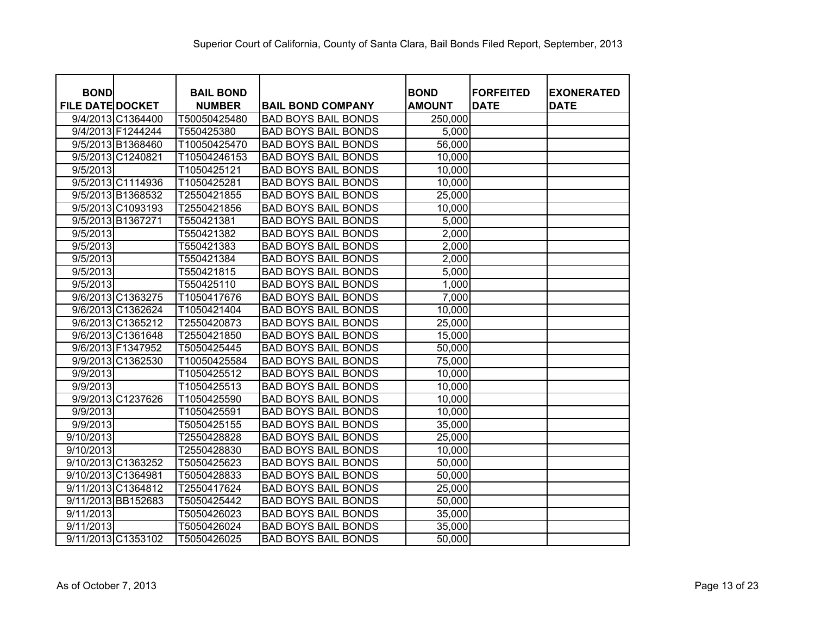| <b>BOND</b><br><b>FILE DATE DOCKET</b> | <b>BAIL BOND</b><br><b>NUMBER</b> | <b>BAIL BOND COMPANY</b>   | <b>BOND</b><br><b>AMOUNT</b> | <b>FORFEITED</b><br><b>DATE</b> | <b>EXONERATED</b><br><b>DATE</b> |
|----------------------------------------|-----------------------------------|----------------------------|------------------------------|---------------------------------|----------------------------------|
| 9/4/2013 C1364400                      | T50050425480                      | <b>BAD BOYS BAIL BONDS</b> | 250,000                      |                                 |                                  |
| 9/4/2013 F1244244                      | T550425380                        | <b>BAD BOYS BAIL BONDS</b> | 5,000                        |                                 |                                  |
| 9/5/2013 B1368460                      | T10050425470                      | <b>BAD BOYS BAIL BONDS</b> | 56,000                       |                                 |                                  |
| 9/5/2013 C1240821                      | T10504246153                      | <b>BAD BOYS BAIL BONDS</b> | 10,000                       |                                 |                                  |
| 9/5/2013                               | T1050425121                       | <b>BAD BOYS BAIL BONDS</b> | 10,000                       |                                 |                                  |
| 9/5/2013 C1114936                      | T1050425281                       | <b>BAD BOYS BAIL BONDS</b> | 10,000                       |                                 |                                  |
| 9/5/2013 B1368532                      | T2550421855                       | <b>BAD BOYS BAIL BONDS</b> | 25,000                       |                                 |                                  |
| 9/5/2013 C1093193                      | T2550421856                       | <b>BAD BOYS BAIL BONDS</b> | 10,000                       |                                 |                                  |
| 9/5/2013 B1367271                      | T550421381                        | <b>BAD BOYS BAIL BONDS</b> | 5,000                        |                                 |                                  |
| 9/5/2013                               | T550421382                        | <b>BAD BOYS BAIL BONDS</b> | 2,000                        |                                 |                                  |
| 9/5/2013                               | T550421383                        | <b>BAD BOYS BAIL BONDS</b> | 2,000                        |                                 |                                  |
| 9/5/2013                               | T550421384                        | <b>BAD BOYS BAIL BONDS</b> | 2,000                        |                                 |                                  |
| 9/5/2013                               | T550421815                        | <b>BAD BOYS BAIL BONDS</b> | 5,000                        |                                 |                                  |
| 9/5/2013                               | T550425110                        | <b>BAD BOYS BAIL BONDS</b> | 1,000                        |                                 |                                  |
| 9/6/2013 C1363275                      | T1050417676                       | <b>BAD BOYS BAIL BONDS</b> | 7,000                        |                                 |                                  |
| 9/6/2013 C1362624                      | T1050421404                       | <b>BAD BOYS BAIL BONDS</b> | 10,000                       |                                 |                                  |
| 9/6/2013 C1365212                      | T2550420873                       | <b>BAD BOYS BAIL BONDS</b> | 25,000                       |                                 |                                  |
| 9/6/2013 C1361648                      | T2550421850                       | <b>BAD BOYS BAIL BONDS</b> | 15,000                       |                                 |                                  |
| 9/6/2013 F1347952                      | T5050425445                       | <b>BAD BOYS BAIL BONDS</b> | 50,000                       |                                 |                                  |
| 9/9/2013 C1362530                      | T10050425584                      | <b>BAD BOYS BAIL BONDS</b> | 75,000                       |                                 |                                  |
| 9/9/2013                               | T1050425512                       | <b>BAD BOYS BAIL BONDS</b> | 10,000                       |                                 |                                  |
| 9/9/2013                               | T1050425513                       | <b>BAD BOYS BAIL BONDS</b> | 10,000                       |                                 |                                  |
| 9/9/2013 C1237626                      | T1050425590                       | <b>BAD BOYS BAIL BONDS</b> | 10,000                       |                                 |                                  |
| 9/9/2013                               | T1050425591                       | <b>BAD BOYS BAIL BONDS</b> | 10,000                       |                                 |                                  |
| 9/9/2013                               | T5050425155                       | <b>BAD BOYS BAIL BONDS</b> | 35,000                       |                                 |                                  |
| 9/10/2013                              | T2550428828                       | <b>BAD BOYS BAIL BONDS</b> | 25,000                       |                                 |                                  |
| 9/10/2013                              | T2550428830                       | <b>BAD BOYS BAIL BONDS</b> | 10,000                       |                                 |                                  |
| 9/10/2013 C1363252                     | T5050425623                       | <b>BAD BOYS BAIL BONDS</b> | 50,000                       |                                 |                                  |
| 9/10/2013 C1364981                     | T5050428833                       | <b>BAD BOYS BAIL BONDS</b> | 50,000                       |                                 |                                  |
| 9/11/2013 C1364812                     | T2550417624                       | <b>BAD BOYS BAIL BONDS</b> | 25,000                       |                                 |                                  |
| 9/11/2013 BB152683                     | T5050425442                       | <b>BAD BOYS BAIL BONDS</b> | 50,000                       |                                 |                                  |
| 9/11/2013                              | T5050426023                       | <b>BAD BOYS BAIL BONDS</b> | 35,000                       |                                 |                                  |
| 9/11/2013                              | T5050426024                       | <b>BAD BOYS BAIL BONDS</b> | 35,000                       |                                 |                                  |
| 9/11/2013 C1353102                     | T5050426025                       | <b>BAD BOYS BAIL BONDS</b> | 50,000                       |                                 |                                  |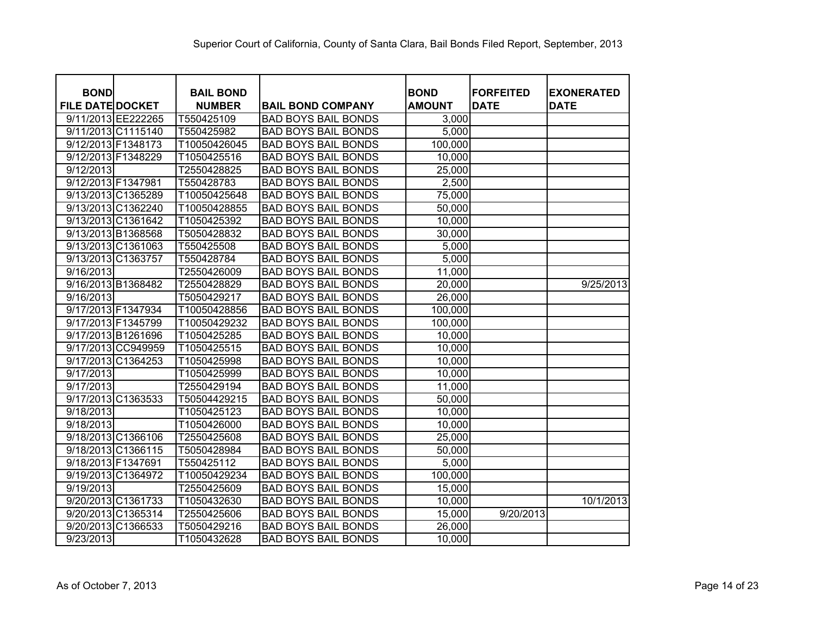| <b>BOND</b>             |                    | <b>BAIL BOND</b> |                            | <b>BOND</b>   | <b>FORFEITED</b> | <b>EXONERATED</b> |
|-------------------------|--------------------|------------------|----------------------------|---------------|------------------|-------------------|
| <b>FILE DATE DOCKET</b> |                    | <b>NUMBER</b>    | <b>BAIL BOND COMPANY</b>   | <b>AMOUNT</b> | <b>DATE</b>      | <b>DATE</b>       |
|                         | 9/11/2013 EE222265 | T550425109       | <b>BAD BOYS BAIL BONDS</b> | 3,000         |                  |                   |
|                         | 9/11/2013 C1115140 | T550425982       | <b>BAD BOYS BAIL BONDS</b> | 5,000         |                  |                   |
| 9/12/2013 F1348173      |                    | T10050426045     | <b>BAD BOYS BAIL BONDS</b> | 100,000       |                  |                   |
| 9/12/2013 F1348229      |                    | T1050425516      | <b>BAD BOYS BAIL BONDS</b> | 10,000        |                  |                   |
| 9/12/2013               |                    | T2550428825      | <b>BAD BOYS BAIL BONDS</b> | 25,000        |                  |                   |
| 9/12/2013 F1347981      |                    | T550428783       | <b>BAD BOYS BAIL BONDS</b> | 2,500         |                  |                   |
|                         | 9/13/2013 C1365289 | T10050425648     | <b>BAD BOYS BAIL BONDS</b> | 75,000        |                  |                   |
|                         | 9/13/2013 C1362240 | T10050428855     | <b>BAD BOYS BAIL BONDS</b> | 50,000        |                  |                   |
|                         | 9/13/2013 C1361642 | T1050425392      | <b>BAD BOYS BAIL BONDS</b> | 10,000        |                  |                   |
|                         | 9/13/2013 B1368568 | T5050428832      | <b>BAD BOYS BAIL BONDS</b> | 30,000        |                  |                   |
|                         | 9/13/2013 C1361063 | T550425508       | <b>BAD BOYS BAIL BONDS</b> | 5,000         |                  |                   |
| 9/13/2013 C1363757      |                    | T550428784       | <b>BAD BOYS BAIL BONDS</b> | 5,000         |                  |                   |
| 9/16/2013               |                    | T2550426009      | <b>BAD BOYS BAIL BONDS</b> | 11,000        |                  |                   |
| 9/16/2013 B1368482      |                    | T2550428829      | <b>BAD BOYS BAIL BONDS</b> | 20,000        |                  | 9/25/2013         |
| 9/16/2013               |                    | T5050429217      | <b>BAD BOYS BAIL BONDS</b> | 26,000        |                  |                   |
| 9/17/2013 F1347934      |                    | T10050428856     | <b>BAD BOYS BAIL BONDS</b> | 100,000       |                  |                   |
| 9/17/2013 F1345799      |                    | T10050429232     | <b>BAD BOYS BAIL BONDS</b> | 100,000       |                  |                   |
|                         | 9/17/2013 B1261696 | T1050425285      | <b>BAD BOYS BAIL BONDS</b> | 10,000        |                  |                   |
|                         | 9/17/2013 CC949959 | T1050425515      | <b>BAD BOYS BAIL BONDS</b> | 10,000        |                  |                   |
|                         | 9/17/2013 C1364253 | T1050425998      | <b>BAD BOYS BAIL BONDS</b> | 10,000        |                  |                   |
| 9/17/2013               |                    | T1050425999      | <b>BAD BOYS BAIL BONDS</b> | 10,000        |                  |                   |
| 9/17/2013               |                    | T2550429194      | <b>BAD BOYS BAIL BONDS</b> | 11,000        |                  |                   |
|                         | 9/17/2013 C1363533 | T50504429215     | <b>BAD BOYS BAIL BONDS</b> | 50,000        |                  |                   |
| 9/18/2013               |                    | T1050425123      | <b>BAD BOYS BAIL BONDS</b> | 10,000        |                  |                   |
| 9/18/2013               |                    | T1050426000      | <b>BAD BOYS BAIL BONDS</b> | 10,000        |                  |                   |
|                         | 9/18/2013 C1366106 | T2550425608      | <b>BAD BOYS BAIL BONDS</b> | 25,000        |                  |                   |
|                         | 9/18/2013 C1366115 | T5050428984      | <b>BAD BOYS BAIL BONDS</b> | 50,000        |                  |                   |
| 9/18/2013 F1347691      |                    | T550425112       | <b>BAD BOYS BAIL BONDS</b> | 5,000         |                  |                   |
|                         | 9/19/2013 C1364972 | T10050429234     | <b>BAD BOYS BAIL BONDS</b> | 100,000       |                  |                   |
| $\overline{9/19/2013}$  |                    | T2550425609      | <b>BAD BOYS BAIL BONDS</b> | 15,000        |                  |                   |
|                         | 9/20/2013 C1361733 | T1050432630      | <b>BAD BOYS BAIL BONDS</b> | 10,000        |                  | 10/1/2013         |
|                         | 9/20/2013 C1365314 | T2550425606      | <b>BAD BOYS BAIL BONDS</b> | 15,000        | 9/20/2013        |                   |
|                         | 9/20/2013 C1366533 | T5050429216      | <b>BAD BOYS BAIL BONDS</b> | 26,000        |                  |                   |
| 9/23/2013               |                    | T1050432628      | <b>BAD BOYS BAIL BONDS</b> | 10,000        |                  |                   |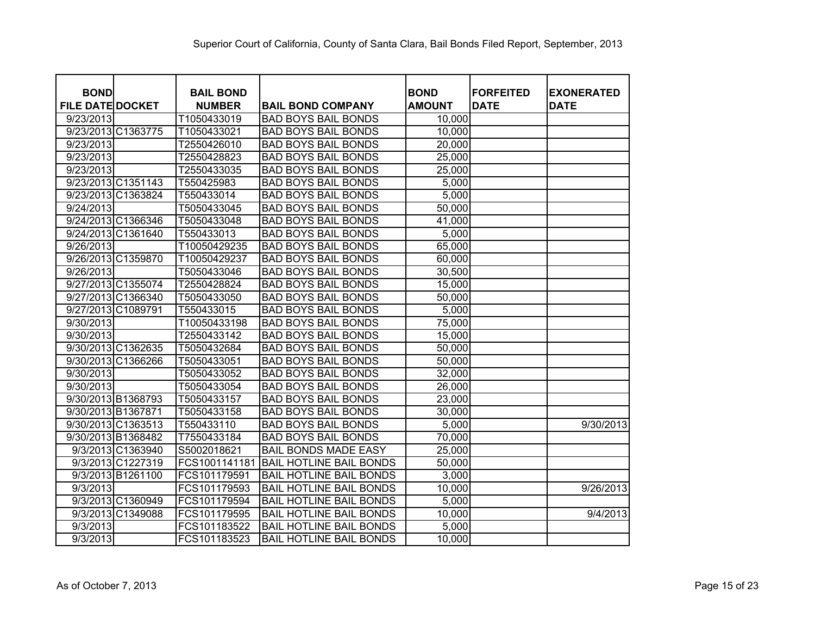| <b>BOND</b><br><b>FILE DATE DOCKET</b> | <b>BAIL BOND</b><br><b>NUMBER</b> | <b>BAIL BOND COMPANY</b>       | <b>BOND</b><br><b>AMOUNT</b> | <b>FORFEITED</b><br><b>DATE</b> | <b>EXONERATED</b><br><b>DATE</b> |
|----------------------------------------|-----------------------------------|--------------------------------|------------------------------|---------------------------------|----------------------------------|
| 9/23/2013                              | T1050433019                       | <b>BAD BOYS BAIL BONDS</b>     | 10,000                       |                                 |                                  |
| 9/23/2013 C1363775                     | T1050433021                       | <b>BAD BOYS BAIL BONDS</b>     | 10,000                       |                                 |                                  |
| 9/23/2013                              | T2550426010                       | <b>BAD BOYS BAIL BONDS</b>     | 20,000                       |                                 |                                  |
| 9/23/2013                              | T2550428823                       | <b>BAD BOYS BAIL BONDS</b>     | 25,000                       |                                 |                                  |
| 9/23/2013                              | T2550433035                       | <b>BAD BOYS BAIL BONDS</b>     | 25,000                       |                                 |                                  |
| 9/23/2013 C1351143                     | T550425983                        | <b>BAD BOYS BAIL BONDS</b>     | 5,000                        |                                 |                                  |
| 9/23/2013 C1363824                     | T550433014                        | <b>BAD BOYS BAIL BONDS</b>     | 5,000                        |                                 |                                  |
| 9/24/2013                              | T5050433045                       | <b>BAD BOYS BAIL BONDS</b>     | 50,000                       |                                 |                                  |
| 9/24/2013 C1366346                     | T5050433048                       | <b>BAD BOYS BAIL BONDS</b>     | 41,000                       |                                 |                                  |
| 9/24/2013 C1361640                     | T550433013                        | <b>BAD BOYS BAIL BONDS</b>     | 5,000                        |                                 |                                  |
| 9/26/2013                              | T10050429235                      | <b>BAD BOYS BAIL BONDS</b>     | 65,000                       |                                 |                                  |
| 9/26/2013 C1359870                     | T10050429237                      | <b>BAD BOYS BAIL BONDS</b>     | 60,000                       |                                 |                                  |
| 9/26/2013                              | T5050433046                       | <b>BAD BOYS BAIL BONDS</b>     | 30,500                       |                                 |                                  |
| 9/27/2013 C1355074                     | T2550428824                       | <b>BAD BOYS BAIL BONDS</b>     | 15,000                       |                                 |                                  |
| 9/27/2013 C1366340                     | T5050433050                       | <b>BAD BOYS BAIL BONDS</b>     | 50,000                       |                                 |                                  |
| 9/27/2013 C1089791                     | T550433015                        | <b>BAD BOYS BAIL BONDS</b>     | 5,000                        |                                 |                                  |
| 9/30/2013                              | T10050433198                      | <b>BAD BOYS BAIL BONDS</b>     | 75,000                       |                                 |                                  |
| 9/30/2013                              | T2550433142                       | <b>BAD BOYS BAIL BONDS</b>     | 15,000                       |                                 |                                  |
| 9/30/2013 C1362635                     | T5050432684                       | <b>BAD BOYS BAIL BONDS</b>     | 50,000                       |                                 |                                  |
| 9/30/2013 C1366266                     | T5050433051                       | <b>BAD BOYS BAIL BONDS</b>     | 50,000                       |                                 |                                  |
| 9/30/2013                              | T5050433052                       | <b>BAD BOYS BAIL BONDS</b>     | 32,000                       |                                 |                                  |
| 9/30/2013                              | T5050433054                       | <b>BAD BOYS BAIL BONDS</b>     | 26,000                       |                                 |                                  |
| 9/30/2013 B1368793                     | T5050433157                       | <b>BAD BOYS BAIL BONDS</b>     | 23,000                       |                                 |                                  |
| 9/30/2013 B1367871                     | T5050433158                       | <b>BAD BOYS BAIL BONDS</b>     | 30,000                       |                                 |                                  |
| 9/30/2013 C1363513                     | T550433110                        | <b>BAD BOYS BAIL BONDS</b>     | 5,000                        |                                 | 9/30/2013                        |
| 9/30/2013 B1368482                     | T7550433184                       | <b>BAD BOYS BAIL BONDS</b>     | 70,000                       |                                 |                                  |
| 9/3/2013 C1363940                      | S5002018621                       | <b>BAIL BONDS MADE EASY</b>    | 25,000                       |                                 |                                  |
| 9/3/2013 C1227319                      | FCS1001141181                     | <b>BAIL HOTLINE BAIL BONDS</b> | 50,000                       |                                 |                                  |
| 9/3/2013 B1261100                      | FCS101179591                      | <b>BAIL HOTLINE BAIL BONDS</b> | 3,000                        |                                 |                                  |
| 9/3/2013                               | FCS101179593                      | <b>BAIL HOTLINE BAIL BONDS</b> | 10,000                       |                                 | 9/26/2013                        |
| 9/3/2013 C1360949                      | FCS101179594                      | <b>BAIL HOTLINE BAIL BONDS</b> | 5,000                        |                                 |                                  |
| 9/3/2013 C1349088                      | FCS101179595                      | <b>BAIL HOTLINE BAIL BONDS</b> | 10,000                       |                                 | 9/4/2013                         |
| 9/3/2013                               | FCS101183522                      | <b>BAIL HOTLINE BAIL BONDS</b> | 5,000                        |                                 |                                  |
| 9/3/2013                               | FCS101183523                      | <b>BAIL HOTLINE BAIL BONDS</b> | 10,000                       |                                 |                                  |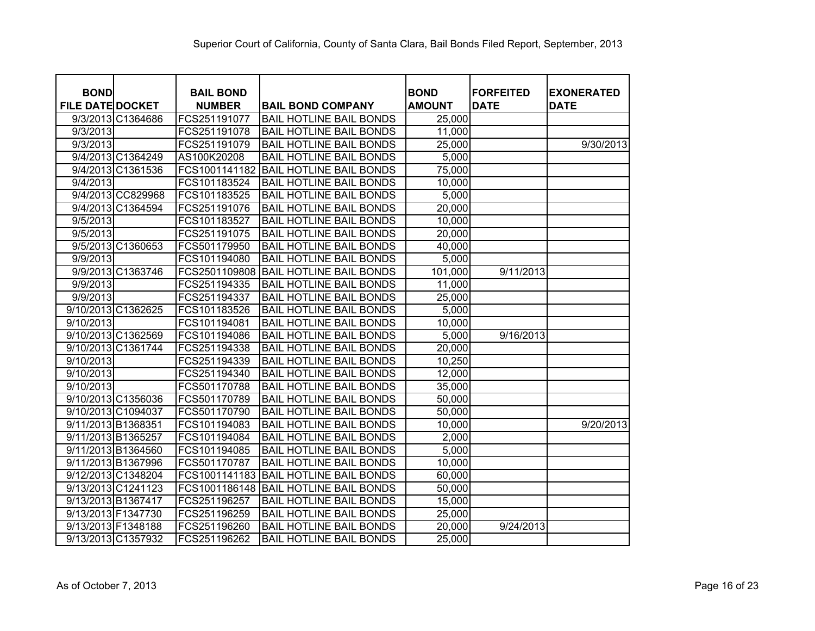| <b>BOND</b><br><b>FILE DATE DOCKET</b> | <b>BAIL BOND</b><br><b>NUMBER</b> | <b>BAIL BOND COMPANY</b>       | <b>BOND</b><br><b>AMOUNT</b> | <b>FORFEITED</b><br><b>DATE</b> | <b>EXONERATED</b><br><b>DATE</b> |
|----------------------------------------|-----------------------------------|--------------------------------|------------------------------|---------------------------------|----------------------------------|
| 9/3/2013 C1364686                      | FCS251191077                      | <b>BAIL HOTLINE BAIL BONDS</b> | 25,000                       |                                 |                                  |
| 9/3/2013                               | FCS251191078                      | <b>BAIL HOTLINE BAIL BONDS</b> | 11,000                       |                                 |                                  |
| 9/3/2013                               | FCS251191079                      | <b>BAIL HOTLINE BAIL BONDS</b> | 25,000                       |                                 | 9/30/2013                        |
| 9/4/2013 C1364249                      | AS100K20208                       | <b>BAIL HOTLINE BAIL BONDS</b> | 5,000                        |                                 |                                  |
| 9/4/2013 C1361536                      | FCS1001141182                     | <b>BAIL HOTLINE BAIL BONDS</b> | 75,000                       |                                 |                                  |
| 9/4/2013                               | FCS101183524                      | <b>BAIL HOTLINE BAIL BONDS</b> | 10,000                       |                                 |                                  |
| 9/4/2013 CC829968                      | FCS101183525                      | <b>BAIL HOTLINE BAIL BONDS</b> | 5,000                        |                                 |                                  |
| 9/4/2013 C1364594                      | FCS251191076                      | <b>BAIL HOTLINE BAIL BONDS</b> | 20,000                       |                                 |                                  |
| 9/5/2013                               | FCS101183527                      | <b>BAIL HOTLINE BAIL BONDS</b> | 10,000                       |                                 |                                  |
| 9/5/2013                               | FCS251191075                      | <b>BAIL HOTLINE BAIL BONDS</b> | 20,000                       |                                 |                                  |
| 9/5/2013 C1360653                      | FCS501179950                      | <b>BAIL HOTLINE BAIL BONDS</b> | 40,000                       |                                 |                                  |
| 9/9/2013                               | FCS101194080                      | <b>BAIL HOTLINE BAIL BONDS</b> | 5,000                        |                                 |                                  |
| 9/9/2013 C1363746                      | FCS2501109808                     | <b>BAIL HOTLINE BAIL BONDS</b> | 101,000                      | 9/11/2013                       |                                  |
| 9/9/2013                               | FCS251194335                      | <b>BAIL HOTLINE BAIL BONDS</b> | 11,000                       |                                 |                                  |
| 9/9/2013                               | FCS251194337                      | <b>BAIL HOTLINE BAIL BONDS</b> | 25,000                       |                                 |                                  |
| 9/10/2013 C1362625                     | FCS101183526                      | <b>BAIL HOTLINE BAIL BONDS</b> | 5,000                        |                                 |                                  |
| 9/10/2013                              | FCS101194081                      | <b>BAIL HOTLINE BAIL BONDS</b> | 10,000                       |                                 |                                  |
| 9/10/2013 C1362569                     | FCS101194086                      | <b>BAIL HOTLINE BAIL BONDS</b> | 5,000                        | 9/16/2013                       |                                  |
| 9/10/2013 C1361744                     | FCS251194338                      | <b>BAIL HOTLINE BAIL BONDS</b> | 20,000                       |                                 |                                  |
| 9/10/2013                              | FCS251194339                      | <b>BAIL HOTLINE BAIL BONDS</b> | 10,250                       |                                 |                                  |
| 9/10/2013                              | FCS251194340                      | <b>BAIL HOTLINE BAIL BONDS</b> | 12,000                       |                                 |                                  |
| 9/10/2013                              | FCS501170788                      | <b>BAIL HOTLINE BAIL BONDS</b> | 35,000                       |                                 |                                  |
| 9/10/2013 C1356036                     | FCS501170789                      | <b>BAIL HOTLINE BAIL BONDS</b> | 50,000                       |                                 |                                  |
| 9/10/2013 C1094037                     | FCS501170790                      | <b>BAIL HOTLINE BAIL BONDS</b> | 50,000                       |                                 |                                  |
| 9/11/2013 B1368351                     | FCS101194083                      | <b>BAIL HOTLINE BAIL BONDS</b> | 10,000                       |                                 | 9/20/2013                        |
| 9/11/2013 B1365257                     | FCS101194084                      | <b>BAIL HOTLINE BAIL BONDS</b> | 2,000                        |                                 |                                  |
| 9/11/2013 B1364560                     | FCS101194085                      | <b>BAIL HOTLINE BAIL BONDS</b> | 5,000                        |                                 |                                  |
| 9/11/2013 B1367996                     | FCS501170787                      | <b>BAIL HOTLINE BAIL BONDS</b> | 10,000                       |                                 |                                  |
| 9/12/2013 C1348204                     | FCS1001141183                     | <b>BAIL HOTLINE BAIL BONDS</b> | 60,000                       |                                 |                                  |
| 9/13/2013 C1241123                     | FCS1001186148                     | <b>BAIL HOTLINE BAIL BONDS</b> | 50,000                       |                                 |                                  |
| 9/13/2013 B1367417                     | FCS251196257                      | <b>BAIL HOTLINE BAIL BONDS</b> | 15,000                       |                                 |                                  |
| 9/13/2013 F1347730                     | FCS251196259                      | <b>BAIL HOTLINE BAIL BONDS</b> | 25,000                       |                                 |                                  |
| 9/13/2013 F1348188                     | FCS251196260                      | <b>BAIL HOTLINE BAIL BONDS</b> | 20,000                       | 9/24/2013                       |                                  |
| 9/13/2013 C1357932                     | FCS251196262                      | <b>BAIL HOTLINE BAIL BONDS</b> | 25,000                       |                                 |                                  |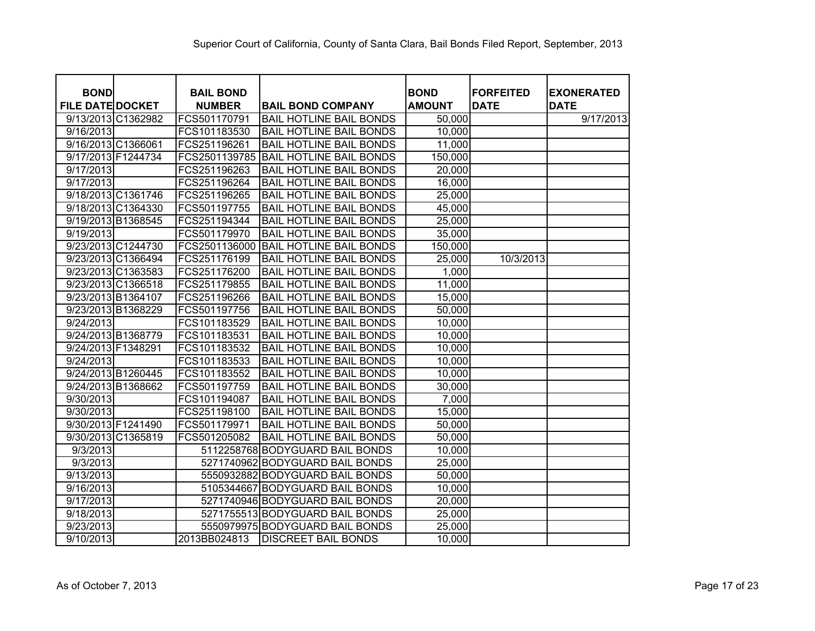| <b>BOND</b>             | <b>BAIL BOND</b> |                                 | <b>BOND</b>   | <b>FORFEITED</b> | <b>EXONERATED</b> |
|-------------------------|------------------|---------------------------------|---------------|------------------|-------------------|
| <b>FILE DATE DOCKET</b> | <b>NUMBER</b>    | <b>BAIL BOND COMPANY</b>        | <b>AMOUNT</b> | <b>DATE</b>      | <b>DATE</b>       |
| 9/13/2013 C1362982      | FCS501170791     | <b>BAIL HOTLINE BAIL BONDS</b>  | 50,000        |                  | 9/17/2013         |
| 9/16/2013               | FCS101183530     | <b>BAIL HOTLINE BAIL BONDS</b>  | 10,000        |                  |                   |
| 9/16/2013 C1366061      | FCS251196261     | <b>BAIL HOTLINE BAIL BONDS</b>  | 11,000        |                  |                   |
| 9/17/2013 F1244734      | FCS2501139785    | <b>BAIL HOTLINE BAIL BONDS</b>  | 150,000       |                  |                   |
| 9/17/2013               | FCS251196263     | <b>BAIL HOTLINE BAIL BONDS</b>  | 20,000        |                  |                   |
| 9/17/2013               | FCS251196264     | <b>BAIL HOTLINE BAIL BONDS</b>  | 16,000        |                  |                   |
| 9/18/2013 C1361746      | FCS251196265     | <b>BAIL HOTLINE BAIL BONDS</b>  | 25,000        |                  |                   |
| 9/18/2013 C1364330      | FCS501197755     | <b>BAIL HOTLINE BAIL BONDS</b>  | 45,000        |                  |                   |
| 9/19/2013 B1368545      | FCS251194344     | <b>BAIL HOTLINE BAIL BONDS</b>  | 25,000        |                  |                   |
| 9/19/2013               | FCS501179970     | <b>BAIL HOTLINE BAIL BONDS</b>  | 35,000        |                  |                   |
| 9/23/2013 C1244730      | FCS2501136000    | <b>BAIL HOTLINE BAIL BONDS</b>  | 150,000       |                  |                   |
| 9/23/2013 C1366494      | FCS251176199     | <b>BAIL HOTLINE BAIL BONDS</b>  | 25,000        | 10/3/2013        |                   |
| 9/23/2013 C1363583      | FCS251176200     | <b>BAIL HOTLINE BAIL BONDS</b>  | 1,000         |                  |                   |
| 9/23/2013 C1366518      | FCS251179855     | <b>BAIL HOTLINE BAIL BONDS</b>  | 11,000        |                  |                   |
| 9/23/2013 B1364107      | FCS251196266     | <b>BAIL HOTLINE BAIL BONDS</b>  | 15,000        |                  |                   |
| 9/23/2013 B1368229      | FCS501197756     | <b>BAIL HOTLINE BAIL BONDS</b>  | 50,000        |                  |                   |
| 9/24/2013               | FCS101183529     | <b>BAIL HOTLINE BAIL BONDS</b>  | 10,000        |                  |                   |
| 9/24/2013 B1368779      | FCS101183531     | <b>BAIL HOTLINE BAIL BONDS</b>  | 10,000        |                  |                   |
| 9/24/2013 F1348291      | FCS101183532     | <b>BAIL HOTLINE BAIL BONDS</b>  | 10,000        |                  |                   |
| 9/24/2013               | FCS101183533     | <b>BAIL HOTLINE BAIL BONDS</b>  | 10,000        |                  |                   |
| 9/24/2013 B1260445      | FCS101183552     | <b>BAIL HOTLINE BAIL BONDS</b>  | 10,000        |                  |                   |
| 9/24/2013 B1368662      | FCS501197759     | <b>BAIL HOTLINE BAIL BONDS</b>  | 30,000        |                  |                   |
| 9/30/2013               | FCS101194087     | <b>BAIL HOTLINE BAIL BONDS</b>  | 7,000         |                  |                   |
| 9/30/2013               | FCS251198100     | <b>BAIL HOTLINE BAIL BONDS</b>  | 15,000        |                  |                   |
| 9/30/2013 F1241490      | FCS501179971     | <b>BAIL HOTLINE BAIL BONDS</b>  | 50,000        |                  |                   |
| 9/30/2013 C1365819      | FCS501205082     | <b>BAIL HOTLINE BAIL BONDS</b>  | 50,000        |                  |                   |
| 9/3/2013                |                  | 5112258768 BODYGUARD BAIL BONDS | 10,000        |                  |                   |
| 9/3/2013                |                  | 5271740962 BODYGUARD BAIL BONDS | 25,000        |                  |                   |
| 9/13/2013               |                  | 5550932882 BODYGUARD BAIL BONDS | 50,000        |                  |                   |
| 9/16/2013               |                  | 5105344667 BODYGUARD BAIL BONDS | 10,000        |                  |                   |
| 9/17/2013               |                  | 5271740946 BODYGUARD BAIL BONDS | 20,000        |                  |                   |
| 9/18/2013               |                  | 5271755513 BODYGUARD BAIL BONDS | 25,000        |                  |                   |
| 9/23/2013               |                  | 5550979975 BODYGUARD BAIL BONDS | 25,000        |                  |                   |
| 9/10/2013               | 2013BB024813     | <b>DISCREET BAIL BONDS</b>      | 10,000        |                  |                   |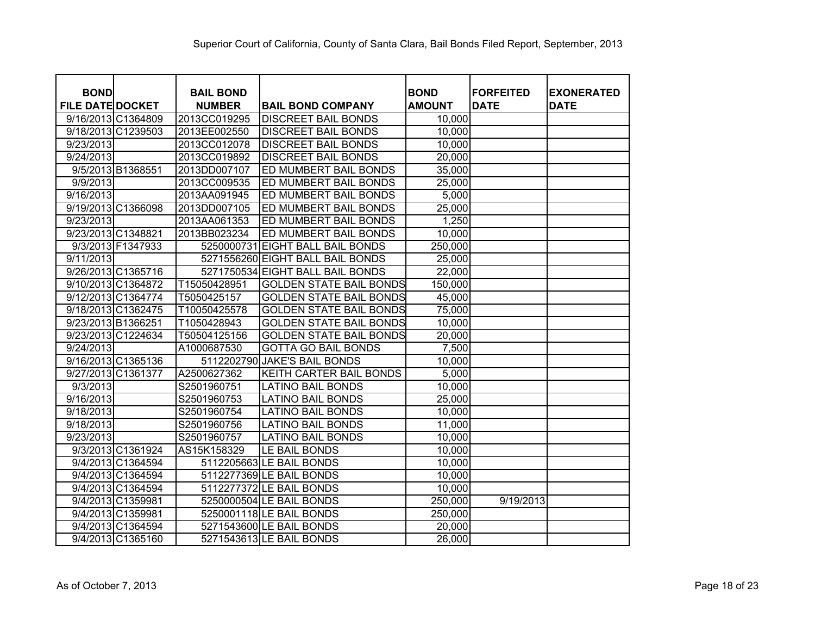| <b>BOND</b>             | <b>BAIL BOND</b> |                                  | <b>BOND</b>   | <b>FORFEITED</b> | <b>EXONERATED</b> |
|-------------------------|------------------|----------------------------------|---------------|------------------|-------------------|
| <b>FILE DATE DOCKET</b> | <b>NUMBER</b>    | <b>BAIL BOND COMPANY</b>         | <b>AMOUNT</b> | <b>DATE</b>      | <b>DATE</b>       |
| 9/16/2013 C1364809      | 2013CC019295     | <b>DISCREET BAIL BONDS</b>       | 10,000        |                  |                   |
| 9/18/2013 C1239503      | 2013EE002550     | <b>DISCREET BAIL BONDS</b>       | 10,000        |                  |                   |
| 9/23/2013               | 2013CC012078     | <b>DISCREET BAIL BONDS</b>       | 10,000        |                  |                   |
| 9/24/2013               | 2013CC019892     | <b>DISCREET BAIL BONDS</b>       | 20,000        |                  |                   |
| 9/5/2013 B1368551       | 2013DD007107     | ED MUMBERT BAIL BONDS            | 35,000        |                  |                   |
| 9/9/2013                | 2013CC009535     | ED MUMBERT BAIL BONDS            | 25,000        |                  |                   |
| 9/16/2013               | 2013AA091945     | ED MUMBERT BAIL BONDS            | 5,000         |                  |                   |
| 9/19/2013 C1366098      | 2013DD007105     | ED MUMBERT BAIL BONDS            | 25,000        |                  |                   |
| 9/23/2013               | 2013AA061353     | ED MUMBERT BAIL BONDS            | 1,250         |                  |                   |
| 9/23/2013 C1348821      | 2013BB023234     | ED MUMBERT BAIL BONDS            | 10,000        |                  |                   |
| 9/3/2013 F1347933       | 5250000731       | <b>EIGHT BALL BAIL BONDS</b>     | 250,000       |                  |                   |
| 9/11/2013               |                  | 5271556260 EIGHT BALL BAIL BONDS | 25,000        |                  |                   |
| 9/26/2013 C1365716      |                  | 5271750534 EIGHT BALL BAIL BONDS | 22,000        |                  |                   |
| 9/10/2013 C1364872      | T15050428951     | <b>GOLDEN STATE BAIL BONDS</b>   | 150,000       |                  |                   |
| 9/12/2013 C1364774      | T5050425157      | <b>GOLDEN STATE BAIL BONDS</b>   | 45,000        |                  |                   |
| 9/18/2013 C1362475      | T10050425578     | <b>GOLDEN STATE BAIL BONDS</b>   | 75,000        |                  |                   |
| 9/23/2013 B1366251      | T1050428943      | <b>GOLDEN STATE BAIL BONDS</b>   | 10,000        |                  |                   |
| 9/23/2013 C1224634      | T50504125156     | <b>GOLDEN STATE BAIL BONDS</b>   | 20,000        |                  |                   |
| 9/24/2013               | A1000687530      | <b>GOTTA GO BAIL BONDS</b>       | 7,500         |                  |                   |
| 9/16/2013 C1365136      |                  | 5112202790 JAKE'S BAIL BONDS     | 10,000        |                  |                   |
| 9/27/2013 C1361377      | A2500627362      | KEITH CARTER BAIL BONDS          | 5,000         |                  |                   |
| 9/3/2013                | S2501960751      | LATINO BAIL BONDS                | 10,000        |                  |                   |
| 9/16/2013               | S2501960753      | <b>LATINO BAIL BONDS</b>         | 25,000        |                  |                   |
| 9/18/2013               | S2501960754      | <b>LATINO BAIL BONDS</b>         | 10,000        |                  |                   |
| 9/18/2013               | S2501960756      | <b>LATINO BAIL BONDS</b>         | 11,000        |                  |                   |
| 9/23/2013               | S2501960757      | <b>LATINO BAIL BONDS</b>         | 10,000        |                  |                   |
| 9/3/2013 C1361924       | AS15K158329      | LE BAIL BONDS                    | 10,000        |                  |                   |
| 9/4/2013 C1364594       |                  | 5112205663 LE BAIL BONDS         | 10,000        |                  |                   |
| 9/4/2013 C1364594       |                  | 5112277369 LE BAIL BONDS         | 10,000        |                  |                   |
| 9/4/2013 C1364594       |                  | 5112277372 LE BAIL BONDS         | 10,000        |                  |                   |
| 9/4/2013 C1359981       |                  | 5250000504 LE BAIL BONDS         | 250,000       | 9/19/2013        |                   |
| 9/4/2013 C1359981       |                  | 5250001118 LE BAIL BONDS         | 250,000       |                  |                   |
| 9/4/2013 C1364594       |                  | 5271543600 LE BAIL BONDS         | 20,000        |                  |                   |
| 9/4/2013 C1365160       |                  | 5271543613 LE BAIL BONDS         | 26,000        |                  |                   |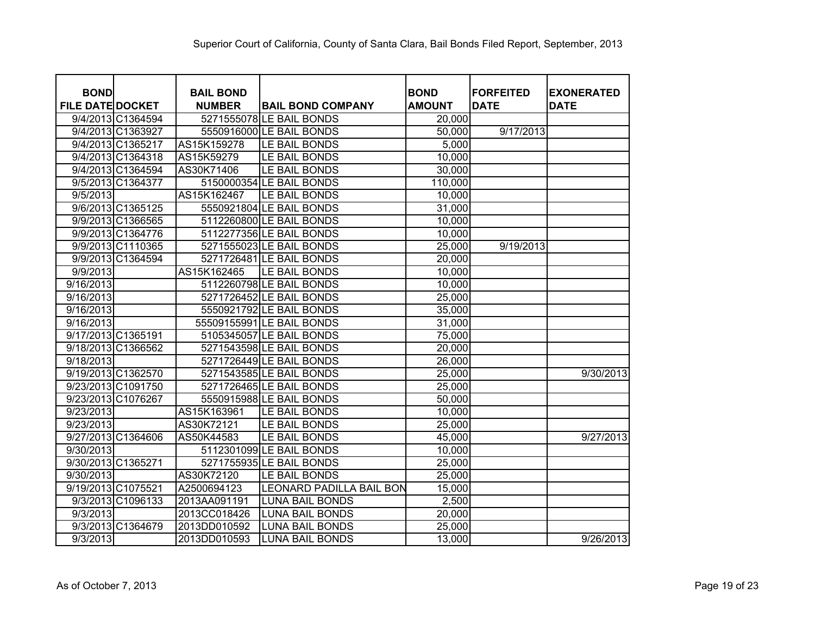| <b>BOND</b>             |                   | <b>BAIL BOND</b> |                                 | <b>BOND</b>   | <b>FORFEITED</b> | <b>EXONERATED</b> |
|-------------------------|-------------------|------------------|---------------------------------|---------------|------------------|-------------------|
| <b>FILE DATE DOCKET</b> |                   | <b>NUMBER</b>    | <b>BAIL BOND COMPANY</b>        | <b>AMOUNT</b> | <b>DATE</b>      | <b>DATE</b>       |
|                         | 9/4/2013 C1364594 |                  | 5271555078LE BAIL BONDS         | 20,000        |                  |                   |
|                         | 9/4/2013 C1363927 |                  | 5550916000 LE BAIL BONDS        | 50,000        | 9/17/2013        |                   |
|                         | 9/4/2013 C1365217 | AS15K159278      | LE BAIL BONDS                   | 5,000         |                  |                   |
|                         | 9/4/2013 C1364318 | AS15K59279       | LE BAIL BONDS                   | 10,000        |                  |                   |
|                         | 9/4/2013 C1364594 | AS30K71406       | LE BAIL BONDS                   | 30,000        |                  |                   |
|                         | 9/5/2013 C1364377 |                  | 5150000354 LE BAIL BONDS        | 110,000       |                  |                   |
| 9/5/2013                |                   | AS15K162467      | LE BAIL BONDS                   | 10,000        |                  |                   |
|                         | 9/6/2013 C1365125 |                  | 5550921804 LE BAIL BONDS        | 31,000        |                  |                   |
|                         | 9/9/2013 C1366565 |                  | 5112260800 LE BAIL BONDS        | 10,000        |                  |                   |
|                         | 9/9/2013 C1364776 |                  | 5112277356 LE BAIL BONDS        | 10,000        |                  |                   |
|                         | 9/9/2013 C1110365 |                  | 5271555023 LE BAIL BONDS        | 25,000        | 9/19/2013        |                   |
|                         | 9/9/2013 C1364594 |                  | 5271726481 LE BAIL BONDS        | 20,000        |                  |                   |
| 9/9/2013                |                   | AS15K162465      | LE BAIL BONDS                   | 10,000        |                  |                   |
| 9/16/2013               |                   |                  | 5112260798 LE BAIL BONDS        | 10,000        |                  |                   |
| 9/16/2013               |                   |                  | 5271726452 LE BAIL BONDS        | 25,000        |                  |                   |
| 9/16/2013               |                   |                  | 5550921792 LE BAIL BONDS        | 35,000        |                  |                   |
| 9/16/2013               |                   |                  | 55509155991 LE BAIL BONDS       | 31,000        |                  |                   |
| 9/17/2013 C1365191      |                   |                  | 5105345057 LE BAIL BONDS        | 75,000        |                  |                   |
| 9/18/2013 C1366562      |                   |                  | 5271543598 LE BAIL BONDS        | 20,000        |                  |                   |
| 9/18/2013               |                   |                  | 5271726449 LE BAIL BONDS        | 26,000        |                  |                   |
| 9/19/2013 C1362570      |                   |                  | 5271543585 LE BAIL BONDS        | 25,000        |                  | 9/30/2013         |
| 9/23/2013 C1091750      |                   |                  | 5271726465 LE BAIL BONDS        | 25,000        |                  |                   |
| 9/23/2013 C1076267      |                   |                  | 5550915988 LE BAIL BONDS        | 50,000        |                  |                   |
| 9/23/2013               |                   | AS15K163961      | LE BAIL BONDS                   | 10,000        |                  |                   |
| 9/23/2013               |                   | AS30K72121       | LE BAIL BONDS                   | 25,000        |                  |                   |
| 9/27/2013 C1364606      |                   | AS50K44583       | LE BAIL BONDS                   | 45,000        |                  | 9/27/2013         |
| 9/30/2013               |                   |                  | 5112301099 LE BAIL BONDS        | 10,000        |                  |                   |
| 9/30/2013 C1365271      |                   |                  | 5271755935 LE BAIL BONDS        | 25,000        |                  |                   |
| 9/30/2013               |                   | AS30K72120       | LE BAIL BONDS                   | 25,000        |                  |                   |
| 9/19/2013 C1075521      |                   | A2500694123      | <b>LEONARD PADILLA BAIL BON</b> | 15,000        |                  |                   |
|                         | 9/3/2013 C1096133 | 2013AA091191     | <b>LUNA BAIL BONDS</b>          | 2,500         |                  |                   |
| 9/3/2013                |                   | 2013CC018426     | <b>LUNA BAIL BONDS</b>          | 20,000        |                  |                   |
|                         | 9/3/2013 C1364679 | 2013DD010592     | <b>LUNA BAIL BONDS</b>          | 25,000        |                  |                   |
| 9/3/2013                |                   | 2013DD010593     | <b>LUNA BAIL BONDS</b>          | 13,000        |                  | 9/26/2013         |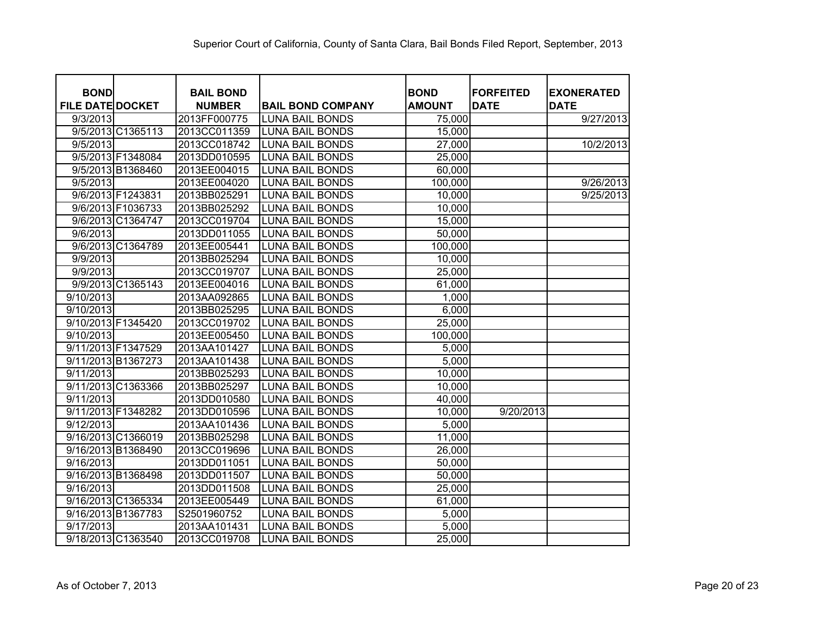| <b>BOND</b><br><b>FILE DATE DOCKET</b> | <b>BAIL BOND</b><br><b>NUMBER</b> | <b>BAIL BOND COMPANY</b> | <b>BOND</b><br><b>AMOUNT</b> | <b>FORFEITED</b><br><b>DATE</b> | <b>EXONERATED</b><br><b>DATE</b> |
|----------------------------------------|-----------------------------------|--------------------------|------------------------------|---------------------------------|----------------------------------|
| 9/3/2013                               | 2013FF000775                      | <b>LUNA BAIL BONDS</b>   | 75,000                       |                                 | 9/27/2013                        |
| 9/5/2013 C1365113                      | 2013CC011359                      | <b>LUNA BAIL BONDS</b>   | 15,000                       |                                 |                                  |
| 9/5/2013                               | 2013CC018742                      | <b>LUNA BAIL BONDS</b>   | 27,000                       |                                 | 10/2/2013                        |
| 9/5/2013 F1348084                      | 2013DD010595                      | <b>LUNA BAIL BONDS</b>   | 25,000                       |                                 |                                  |
| 9/5/2013 B1368460                      | 2013EE004015                      | <b>LUNA BAIL BONDS</b>   | 60,000                       |                                 |                                  |
| 9/5/2013                               | 2013EE004020                      | <b>LUNA BAIL BONDS</b>   | 100,000                      |                                 | 9/26/2013                        |
| 9/6/2013 F1243831                      | 2013BB025291                      | <b>LUNA BAIL BONDS</b>   | 10,000                       |                                 | 9/25/2013                        |
| 9/6/2013 F1036733                      | 2013BB025292                      | <b>LUNA BAIL BONDS</b>   | 10,000                       |                                 |                                  |
| 9/6/2013 C1364747                      | 2013CC019704                      | <b>LUNA BAIL BONDS</b>   | 15,000                       |                                 |                                  |
| 9/6/2013                               | 2013DD011055                      | <b>LUNA BAIL BONDS</b>   | 50,000                       |                                 |                                  |
| 9/6/2013 C1364789                      | 2013EE005441                      | <b>LUNA BAIL BONDS</b>   | 100,000                      |                                 |                                  |
| 9/9/2013                               | 2013BB025294                      | <b>LUNA BAIL BONDS</b>   | 10,000                       |                                 |                                  |
| 9/9/2013                               | 2013CC019707                      | <b>LUNA BAIL BONDS</b>   | 25,000                       |                                 |                                  |
| 9/9/2013 C1365143                      | 2013EE004016                      | <b>LUNA BAIL BONDS</b>   | 61,000                       |                                 |                                  |
| 9/10/2013                              | 2013AA092865                      | <b>LUNA BAIL BONDS</b>   | 1,000                        |                                 |                                  |
| 9/10/2013                              | 2013BB025295                      | <b>LUNA BAIL BONDS</b>   | 6,000                        |                                 |                                  |
| 9/10/2013 F1345420                     | 2013CC019702                      | <b>LUNA BAIL BONDS</b>   | 25,000                       |                                 |                                  |
| 9/10/2013                              | 2013EE005450                      | <b>LUNA BAIL BONDS</b>   | 100,000                      |                                 |                                  |
| 9/11/2013 F1347529                     | 2013AA101427                      | <b>LUNA BAIL BONDS</b>   | 5,000                        |                                 |                                  |
| 9/11/2013 B1367273                     | 2013AA101438                      | <b>LUNA BAIL BONDS</b>   | 5,000                        |                                 |                                  |
| 9/11/2013                              | 2013BB025293                      | <b>LUNA BAIL BONDS</b>   | 10,000                       |                                 |                                  |
| 9/11/2013 C1363366                     | 2013BB025297                      | <b>LUNA BAIL BONDS</b>   | 10,000                       |                                 |                                  |
| 9/11/2013                              | 2013DD010580                      | <b>LUNA BAIL BONDS</b>   | 40,000                       |                                 |                                  |
| 9/11/2013 F1348282                     | 2013DD010596                      | <b>LUNA BAIL BONDS</b>   | 10,000                       | 9/20/2013                       |                                  |
| 9/12/2013                              | 2013AA101436                      | <b>LUNA BAIL BONDS</b>   | 5,000                        |                                 |                                  |
| 9/16/2013 C1366019                     | 2013BB025298                      | <b>LUNA BAIL BONDS</b>   | 11,000                       |                                 |                                  |
| 9/16/2013 B1368490                     | 2013CC019696                      | <b>LUNA BAIL BONDS</b>   | 26,000                       |                                 |                                  |
| 9/16/2013                              | 2013DD011051                      | <b>LUNA BAIL BONDS</b>   | 50,000                       |                                 |                                  |
| 9/16/2013 B1368498                     | 2013DD011507                      | <b>LUNA BAIL BONDS</b>   | 50,000                       |                                 |                                  |
| 9/16/2013                              | 2013DD011508                      | <b>LUNA BAIL BONDS</b>   | 25,000                       |                                 |                                  |
| 9/16/2013 C1365334                     | 2013EE005449                      | <b>LUNA BAIL BONDS</b>   | 61,000                       |                                 |                                  |
| 9/16/2013 B1367783                     | S2501960752                       | <b>LUNA BAIL BONDS</b>   | 5,000                        |                                 |                                  |
| 9/17/2013                              | 2013AA101431                      | <b>LUNA BAIL BONDS</b>   | 5,000                        |                                 |                                  |
| 9/18/2013 C1363540                     | 2013CC019708                      | <b>LUNA BAIL BONDS</b>   | 25,000                       |                                 |                                  |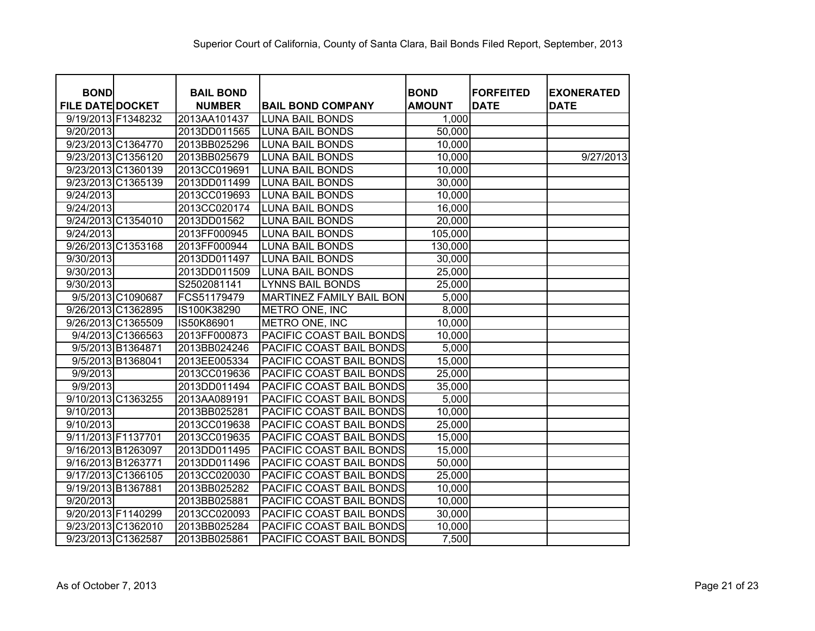| <b>BOND</b>             | <b>BAIL BOND</b> |                          | <b>BOND</b>   | <b>FORFEITED</b> | <b>EXONERATED</b> |
|-------------------------|------------------|--------------------------|---------------|------------------|-------------------|
| <b>FILE DATE DOCKET</b> | <b>NUMBER</b>    | <b>BAIL BOND COMPANY</b> | <b>AMOUNT</b> | <b>DATE</b>      | <b>DATE</b>       |
| 9/19/2013 F1348232      | 2013AA101437     | <b>LUNA BAIL BONDS</b>   | 1,000         |                  |                   |
| 9/20/2013               | 2013DD011565     | <b>LUNA BAIL BONDS</b>   | 50,000        |                  |                   |
| 9/23/2013 C1364770      | 2013BB025296     | <b>LUNA BAIL BONDS</b>   | 10,000        |                  |                   |
| 9/23/2013 C1356120      | 2013BB025679     | <b>LUNA BAIL BONDS</b>   | 10,000        |                  | 9/27/2013         |
| 9/23/2013 C1360139      | 2013CC019691     | <b>LUNA BAIL BONDS</b>   | 10,000        |                  |                   |
| 9/23/2013 C1365139      | 2013DD011499     | <b>LUNA BAIL BONDS</b>   | 30,000        |                  |                   |
| 9/24/2013               | 2013CC019693     | <b>LUNA BAIL BONDS</b>   | 10,000        |                  |                   |
| 9/24/2013               | 2013CC020174     | <b>LUNA BAIL BONDS</b>   | 16,000        |                  |                   |
| 9/24/2013 C1354010      | 2013DD01562      | <b>LUNA BAIL BONDS</b>   | 20,000        |                  |                   |
| 9/24/2013               | 2013FF000945     | <b>LUNA BAIL BONDS</b>   | 105,000       |                  |                   |
| 9/26/2013 C1353168      | 2013FF000944     | <b>LUNA BAIL BONDS</b>   | 130,000       |                  |                   |
| 9/30/2013               | 2013DD011497     | <b>LUNA BAIL BONDS</b>   | 30,000        |                  |                   |
| 9/30/2013               | 2013DD011509     | <b>LUNA BAIL BONDS</b>   | 25,000        |                  |                   |
| 9/30/2013               | S2502081141      | <b>LYNNS BAIL BONDS</b>  | 25,000        |                  |                   |
| 9/5/2013 C1090687       | FCS51179479      | MARTINEZ FAMILY BAIL BON | 5,000         |                  |                   |
| 9/26/2013 C1362895      | IS100K38290      | METRO ONE, INC           | 8,000         |                  |                   |
| 9/26/2013 C1365509      | IS50K86901       | METRO ONE, INC           | 10,000        |                  |                   |
| 9/4/2013 C1366563       | 2013FF000873     | PACIFIC COAST BAIL BONDS | 10,000        |                  |                   |
| 9/5/2013 B1364871       | 2013BB024246     | PACIFIC COAST BAIL BONDS | 5,000         |                  |                   |
| 9/5/2013 B1368041       | 2013EE005334     | PACIFIC COAST BAIL BONDS | 15,000        |                  |                   |
| 9/9/2013                | 2013CC019636     | PACIFIC COAST BAIL BONDS | 25,000        |                  |                   |
| 9/9/2013                | 2013DD011494     | PACIFIC COAST BAIL BONDS | 35,000        |                  |                   |
| 9/10/2013 C1363255      | 2013AA089191     | PACIFIC COAST BAIL BONDS | 5,000         |                  |                   |
| 9/10/2013               | 2013BB025281     | PACIFIC COAST BAIL BONDS | 10,000        |                  |                   |
| 9/10/2013               | 2013CC019638     | PACIFIC COAST BAIL BONDS | 25,000        |                  |                   |
| 9/11/2013 F1137701      | 2013CC019635     | PACIFIC COAST BAIL BONDS | 15,000        |                  |                   |
| 9/16/2013 B1263097      | 2013DD011495     | PACIFIC COAST BAIL BONDS | 15,000        |                  |                   |
| 9/16/2013 B1263771      | 2013DD011496     | PACIFIC COAST BAIL BONDS | 50,000        |                  |                   |
| 9/17/2013 C1366105      | 2013CC020030     | PACIFIC COAST BAIL BONDS | 25,000        |                  |                   |
| 9/19/2013 B1367881      | 2013BB025282     | PACIFIC COAST BAIL BONDS | 10,000        |                  |                   |
| 9/20/2013               | 2013BB025881     | PACIFIC COAST BAIL BONDS | 10,000        |                  |                   |
| 9/20/2013 F1140299      | 2013CC020093     | PACIFIC COAST BAIL BONDS | 30,000        |                  |                   |
| 9/23/2013 C1362010      | 2013BB025284     | PACIFIC COAST BAIL BONDS | 10,000        |                  |                   |
| 9/23/2013 C1362587      | 2013BB025861     | PACIFIC COAST BAIL BONDS | 7,500         |                  |                   |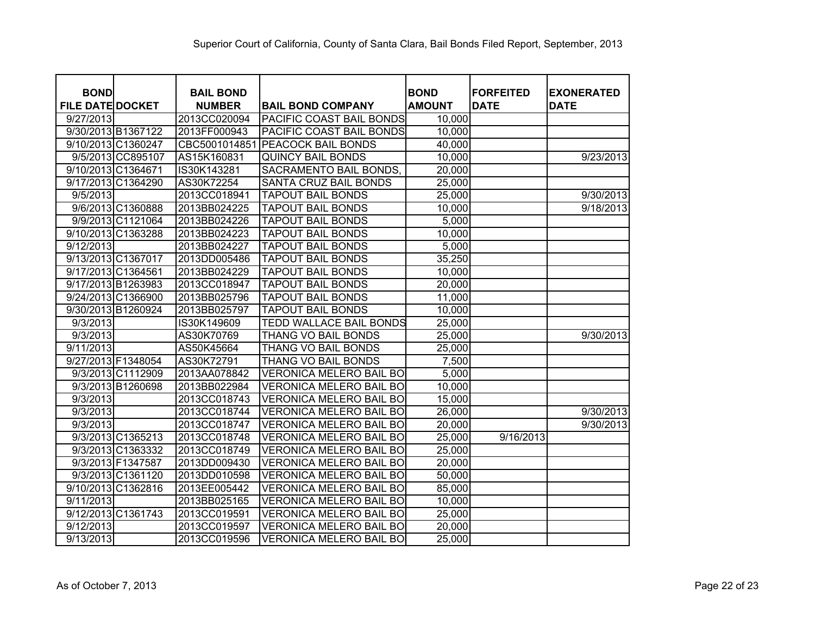| <b>BOND</b><br><b>FILE DATE DOCKET</b> |                   | <b>BAIL BOND</b><br><b>NUMBER</b> | <b>BAIL BOND COMPANY</b>       | <b>BOND</b><br><b>AMOUNT</b> | <b>FORFEITED</b><br><b>DATE</b> | <b>EXONERATED</b><br><b>DATE</b> |
|----------------------------------------|-------------------|-----------------------------------|--------------------------------|------------------------------|---------------------------------|----------------------------------|
| 9/27/2013                              |                   | 2013CC020094                      | PACIFIC COAST BAIL BONDS       | 10,000                       |                                 |                                  |
| 9/30/2013 B1367122                     |                   | 2013FF000943                      | PACIFIC COAST BAIL BONDS       | 10,000                       |                                 |                                  |
| 9/10/2013 C1360247                     |                   | CBC5001014851                     | <b>PEACOCK BAIL BONDS</b>      | 40,000                       |                                 |                                  |
|                                        | 9/5/2013 CC895107 | AS15K160831                       | <b>QUINCY BAIL BONDS</b>       | 10,000                       |                                 | 9/23/2013                        |
| 9/10/2013 C1364671                     |                   | IS30K143281                       | SACRAMENTO BAIL BONDS,         | 20,000                       |                                 |                                  |
| 9/17/2013 C1364290                     |                   | AS30K72254                        | SANTA CRUZ BAIL BONDS          | 25,000                       |                                 |                                  |
| 9/5/2013                               |                   | 2013CC018941                      | <b>TAPOUT BAIL BONDS</b>       | 25,000                       |                                 | 9/30/2013                        |
|                                        | 9/6/2013 C1360888 | 2013BB024225                      | <b>TAPOUT BAIL BONDS</b>       | 10,000                       |                                 | 9/18/2013                        |
|                                        | 9/9/2013 C1121064 | 2013BB024226                      | <b>TAPOUT BAIL BONDS</b>       | 5,000                        |                                 |                                  |
| 9/10/2013 C1363288                     |                   | 2013BB024223                      | <b>TAPOUT BAIL BONDS</b>       | 10,000                       |                                 |                                  |
| 9/12/2013                              |                   | 2013BB024227                      | <b>TAPOUT BAIL BONDS</b>       | 5,000                        |                                 |                                  |
| 9/13/2013 C1367017                     |                   | 2013DD005486                      | <b>TAPOUT BAIL BONDS</b>       | 35,250                       |                                 |                                  |
| 9/17/2013 C1364561                     |                   | 2013BB024229                      | <b>TAPOUT BAIL BONDS</b>       | 10,000                       |                                 |                                  |
| 9/17/2013 B1263983                     |                   | 2013CC018947                      | <b>TAPOUT BAIL BONDS</b>       | 20,000                       |                                 |                                  |
| 9/24/2013 C1366900                     |                   | 2013BB025796                      | <b>TAPOUT BAIL BONDS</b>       | 11,000                       |                                 |                                  |
| 9/30/2013 B1260924                     |                   | 2013BB025797                      | <b>TAPOUT BAIL BONDS</b>       | 10,000                       |                                 |                                  |
| 9/3/2013                               |                   | IS30K149609                       | TEDD WALLACE BAIL BONDS        | 25,000                       |                                 |                                  |
| 9/3/2013                               |                   | AS30K70769                        | THANG VO BAIL BONDS            | 25,000                       |                                 | 9/30/2013                        |
| 9/11/2013                              |                   | AS50K45664                        | THANG VO BAIL BONDS            | 25,000                       |                                 |                                  |
| 9/27/2013 F1348054                     |                   | AS30K72791                        | THANG VO BAIL BONDS            | 7,500                        |                                 |                                  |
|                                        | 9/3/2013 C1112909 | 2013AA078842                      | <b>VERONICA MELERO BAIL BO</b> | 5,000                        |                                 |                                  |
|                                        | 9/3/2013 B1260698 | 2013BB022984                      | <b>VERONICA MELERO BAIL BO</b> | 10,000                       |                                 |                                  |
| 9/3/2013                               |                   | 2013CC018743                      | VERONICA MELERO BAIL BO        | 15,000                       |                                 |                                  |
| 9/3/2013                               |                   | 2013CC018744                      | <b>VERONICA MELERO BAIL BO</b> | 26,000                       |                                 | 9/30/2013                        |
| 9/3/2013                               |                   | 2013CC018747                      | <b>VERONICA MELERO BAIL BO</b> | 20,000                       |                                 | 9/30/2013                        |
|                                        | 9/3/2013 C1365213 | 2013CC018748                      | <b>VERONICA MELERO BAIL BO</b> | 25,000                       | 9/16/2013                       |                                  |
|                                        | 9/3/2013 C1363332 | 2013CC018749                      | <b>VERONICA MELERO BAIL BO</b> | 25,000                       |                                 |                                  |
|                                        | 9/3/2013 F1347587 | 2013DD009430                      | <b>VERONICA MELERO BAIL BO</b> | 20,000                       |                                 |                                  |
|                                        | 9/3/2013 C1361120 | 2013DD010598                      | <b>VERONICA MELERO BAIL BO</b> | 50,000                       |                                 |                                  |
| 9/10/2013 C1362816                     |                   | 2013EE005442                      | <b>VERONICA MELERO BAIL BO</b> | 85,000                       |                                 |                                  |
| 9/11/2013                              |                   | 2013BB025165                      | <b>VERONICA MELERO BAIL BO</b> | 10,000                       |                                 |                                  |
| 9/12/2013 C1361743                     |                   | 2013CC019591                      | <b>VERONICA MELERO BAIL BO</b> | 25,000                       |                                 |                                  |
| 9/12/2013                              |                   | 2013CC019597                      | <b>VERONICA MELERO BAIL BO</b> | 20,000                       |                                 |                                  |
| 9/13/2013                              |                   | 2013CC019596                      | <b>VERONICA MELERO BAIL BO</b> | 25,000                       |                                 |                                  |